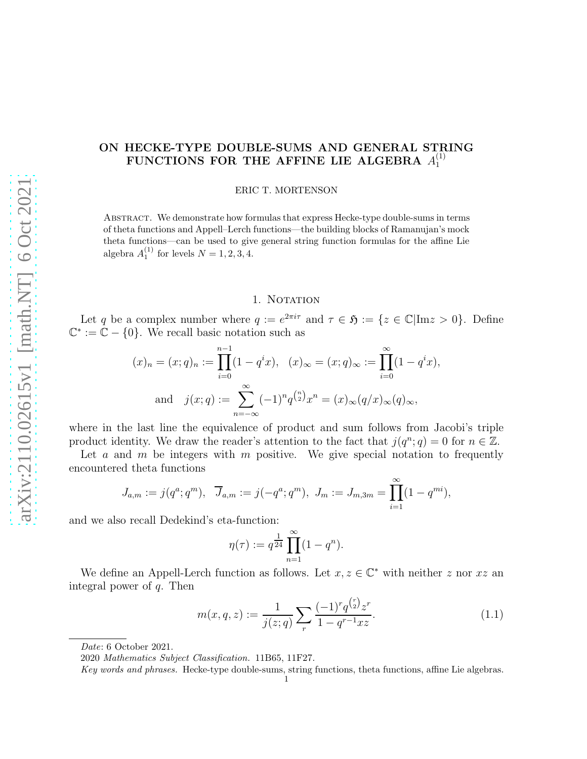#### ON HECKE-TYPE DOUBLE-SUMS AND GENERAL STRING FUNCTIONS FOR THE AFFINE LIE ALGEBRA  $A^{(1)}_{1}$ 1

ERIC T. MORTENSON

Abstract. We demonstrate how formulas that express Hecke-type double-sums in terms of theta functions and Appell–Lerch functions—the building blocks of Ramanujan's mock theta functions—can be used to give general string function formulas for the affine Lie algebra  $A_1^{(1)}$  for levels  $N = 1, 2, 3, 4$ .

## 1. NOTATION

Let q be a complex number where  $q := e^{2\pi i \tau}$  and  $\tau \in \mathfrak{H} := \{z \in \mathbb{C} | \text{Im} z > 0\}$ . Define  $\mathbb{C}^* := \mathbb{C} - \{0\}.$  We recall basic notation such as

$$
(x)_n = (x;q)_n := \prod_{i=0}^{n-1} (1-q^i x), \quad (x)_{\infty} = (x;q)_{\infty} := \prod_{i=0}^{\infty} (1-q^i x),
$$
  
and 
$$
j(x;q) := \sum_{n=-\infty}^{\infty} (-1)^n q^{\binom{n}{2}} x^n = (x)_{\infty} (q/x)_{\infty} (q)_{\infty},
$$

where in the last line the equivalence of product and sum follows from Jacobi's triple product identity. We draw the reader's attention to the fact that  $j(q^n; q) = 0$  for  $n \in \mathbb{Z}$ .

Let a and m be integers with m positive. We give special notation to frequently encountered theta functions

$$
J_{a,m} := j(q^a; q^m), \quad \overline{J}_{a,m} := j(-q^a; q^m), \quad J_m := J_{m,3m} = \prod_{i=1}^{\infty} (1 - q^{mi}),
$$

and we also recall Dedekind's eta-function:

$$
\eta(\tau) := q^{\frac{1}{24}} \prod_{n=1}^{\infty} (1 - q^n).
$$

We define an Appell-Lerch function as follows. Let  $x, z \in \mathbb{C}^*$  with neither z nor  $xz$  an integral power of  $q$ . Then

$$
m(x, q, z) := \frac{1}{j(z; q)} \sum_{r} \frac{(-1)^{r} q^{\binom{r}{2}} z^{r}}{1 - q^{r-1} x z}.
$$
\n(1.1)

Date: 6 October 2021.

<sup>2020</sup> Mathematics Subject Classification. 11B65, 11F27.

Key words and phrases. Hecke-type double-sums, string functions, theta functions, affine Lie algebras. 1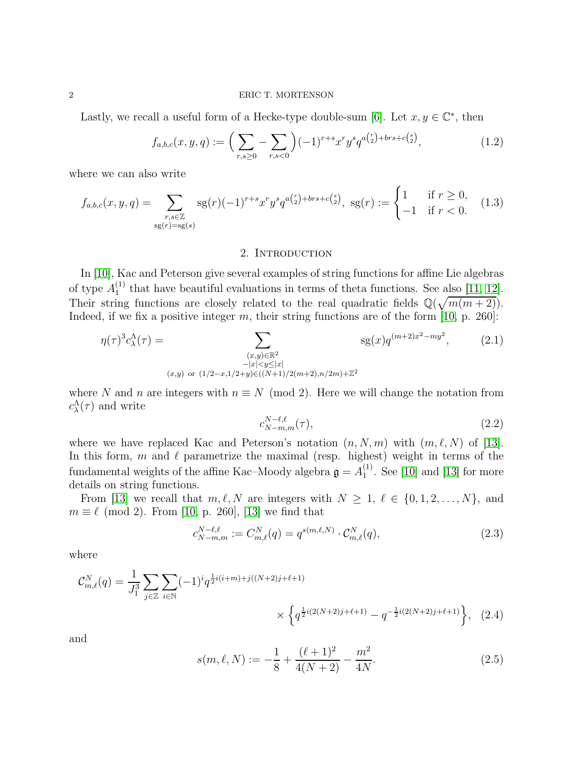Lastly, we recall a useful form of a Hecke-type double-sum [\[6\]](#page-26-0). Let  $x, y \in \mathbb{C}^*$ , then

$$
f_{a,b,c}(x,y,q) := \left(\sum_{r,s \ge 0} - \sum_{r,s < 0} \right) (-1)^{r+s} x^r y^s q^{a\binom{r}{2} + brs + c\binom{s}{2}},\tag{1.2}
$$

where we can also write

$$
f_{a,b,c}(x,y,q) = \sum_{\substack{r,s \in \mathbb{Z} \\ \text{sg}(r) = \text{sg}(s)}} \text{sg}(r)(-1)^{r+s} x^r y^s q^{a\binom{r}{2} + brs + c\binom{s}{2}}, \text{ sg}(r) := \begin{cases} 1 & \text{if } r \ge 0, \\ -1 & \text{if } r < 0. \end{cases} \tag{1.3}
$$

### 2. INTRODUCTION

In [\[10\]](#page-26-1), Kac and Peterson give several examples of string functions for affine Lie algebras of type  $A_1^{(1)}$  $_1^{(1)}$  that have beautiful evaluations in terms of theta functions. See also [\[11,](#page-26-2) [12\]](#page-26-3). Their string functions are closely related to the real quadratic fields  $\mathbb{Q}(\sqrt{m(m+2)})$ . Indeed, if we fix a positive integer  $m$ , their string functions are of the form [\[10,](#page-26-1) p. 260]:

$$
\eta(\tau)^{3} c_{\lambda}^{\Lambda}(\tau) = \sum_{\substack{(x,y)\in\mathbb{R}^{2} \\ -|x| < y \leq |x| \\ (x,y) \text{ or } (1/2-x, 1/2+y) \in ((N+1)/2(m+2), n/2m) + \mathbb{Z}^{2}}} \text{sg}(x) q^{(m+2)x^{2} - my^{2}}, \tag{2.1}
$$

where N and n are integers with  $n \equiv N \pmod{2}$ . Here we will change the notation from  $c_{\lambda}^{\Lambda}(\tau)$  and write

$$
c_{N-m,m}^{N-\ell,\ell}(\tau),\tag{2.2}
$$

where we have replaced Kac and Peterson's notation  $(n, N, m)$  with  $(m, \ell, N)$  of [\[13\]](#page-26-4). In this form, m and  $\ell$  parametrize the maximal (resp. highest) weight in terms of the fundamental weights of the affine Kac–Moody algebra  $\mathfrak{g}=A_1^{(1)}$  $_1^{(1)}$ . See [\[10\]](#page-26-1) and [\[13\]](#page-26-4) for more details on string functions.

From [\[13\]](#page-26-4) we recall that  $m, \ell, N$  are integers with  $N \geq 1, \ell \in \{0, 1, 2, ..., N\}$ , and  $m \equiv \ell \pmod{2}$ . From [\[10,](#page-26-1) p. 260], [\[13\]](#page-26-4) we find that

$$
c_{N-m,m}^{N-\ell,\ell} := C_{m,\ell}^{N}(q) = q^{s(m,\ell,N)} \cdot C_{m,\ell}^{N}(q),
$$
\n(2.3)

where

$$
\mathcal{C}_{m,\ell}^{N}(q) = \frac{1}{J_1^3} \sum_{j \in \mathbb{Z}} \sum_{i \in \mathbb{N}} (-1)^i q^{\frac{1}{2}i(i+m) + j((N+2)j+\ell+1)} \times \left\{ q^{\frac{1}{2}i(2(N+2)j+\ell+1)} - q^{-\frac{1}{2}i(2(N+2)j+\ell+1)} \right\}, \quad (2.4)
$$

and

$$
s(m, \ell, N) := -\frac{1}{8} + \frac{(\ell + 1)^2}{4(N + 2)} - \frac{m^2}{4N}.
$$
\n(2.5)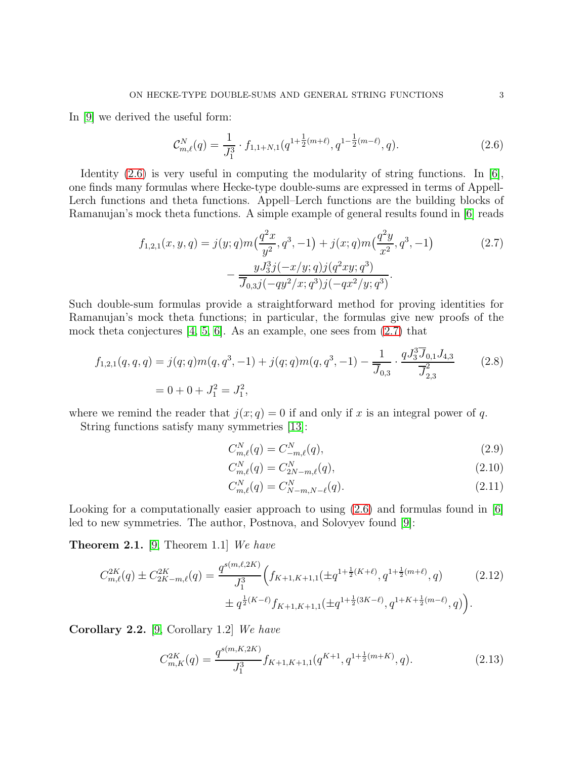In [\[9\]](#page-26-5) we derived the useful form:

<span id="page-2-1"></span><span id="page-2-0"></span>
$$
\mathcal{C}_{m,\ell}^N(q) = \frac{1}{J_1^3} \cdot f_{1,1+N,1}(q^{1+\frac{1}{2}(m+\ell)}, q^{1-\frac{1}{2}(m-\ell)}, q). \tag{2.6}
$$

Identity  $(2.6)$  is very useful in computing the modularity of string functions. In [\[6\]](#page-26-0), one finds many formulas where Hecke-type double-sums are expressed in terms of Appell-Lerch functions and theta functions. Appell–Lerch functions are the building blocks of Ramanujan's mock theta functions. A simple example of general results found in [\[6\]](#page-26-0) reads

$$
f_{1,2,1}(x,y,q) = j(y;q)m\left(\frac{q^2x}{y^2},q^3,-1\right) + j(x;q)m\left(\frac{q^2y}{x^2},q^3,-1\right) \tag{2.7}
$$

$$
-\frac{yJ_3^3j(-x/y;q)j(q^2xy;q^3)}{\overline{J}_{0,3}j(-qy^2/x;q^3)j(-qx^2/y;q^3)}.
$$

Such double-sum formulas provide a straightforward method for proving identities for Ramanujan's mock theta functions; in particular, the formulas give new proofs of the mock theta conjectures [\[4,](#page-26-6) [5,](#page-26-7) [6\]](#page-26-0). As an example, one sees from [\(2.7\)](#page-2-1) that

$$
f_{1,2,1}(q,q,q) = j(q;q)m(q,q^3,-1) + j(q;q)m(q,q^3,-1) - \frac{1}{\overline{J}_{0,3}} \cdot \frac{qJ_3^3 \overline{J}_{0,1} J_{4,3}}{\overline{J}_{2,3}^2}
$$
(2.8)  
= 0 + 0 + J<sub>1</sub><sup>2</sup> = J<sub>1</sub><sup>2</sup>,

where we remind the reader that  $j(x; q) = 0$  if and only if x is an integral power of q.

String functions satisfy many symmetries [\[13\]](#page-26-4):

<span id="page-2-4"></span><span id="page-2-2"></span>
$$
C_{m,\ell}^N(q) = C_{-m,\ell}^N(q),\tag{2.9}
$$

$$
C_{m,\ell}^N(q) = C_{2N-m,\ell}^N(q),\tag{2.10}
$$

<span id="page-2-3"></span>
$$
C_{m,\ell}^N(q) = C_{N-m,N-\ell}^N(q). \tag{2.11}
$$

Looking for a computationally easier approach to using  $(2.6)$  and formulas found in [\[6\]](#page-26-0) led to new symmetries. The author, Postnova, and Solovyev found [\[9\]](#page-26-5):

**Theorem 2.1.** [\[9,](#page-26-5) Theorem 1.1] We have

$$
C_{m,\ell}^{2K}(q) \pm C_{2K-m,\ell}^{2K}(q) = \frac{q^{s(m,\ell,2K)}}{J_1^3} \Big(f_{K+1,K+1,1}(\pm q^{1+\frac{1}{2}(K+\ell)}, q^{1+\frac{1}{2}(m+\ell)}, q) \Big) \pm q^{\frac{1}{2}(K-\ell)} f_{K+1,K+1,1}(\pm q^{1+\frac{1}{2}(3K-\ell)}, q^{1+K+\frac{1}{2}(m-\ell)}, q) \Big).
$$
\n(2.12)

Corollary 2.2. [\[9,](#page-26-5) Corollary 1.2] We have

$$
C_{m,K}^{2K}(q) = \frac{q^{s(m,K,2K)}}{J_1^3} f_{K+1,K+1,1}(q^{K+1}, q^{1+\frac{1}{2}(m+K)}, q). \tag{2.13}
$$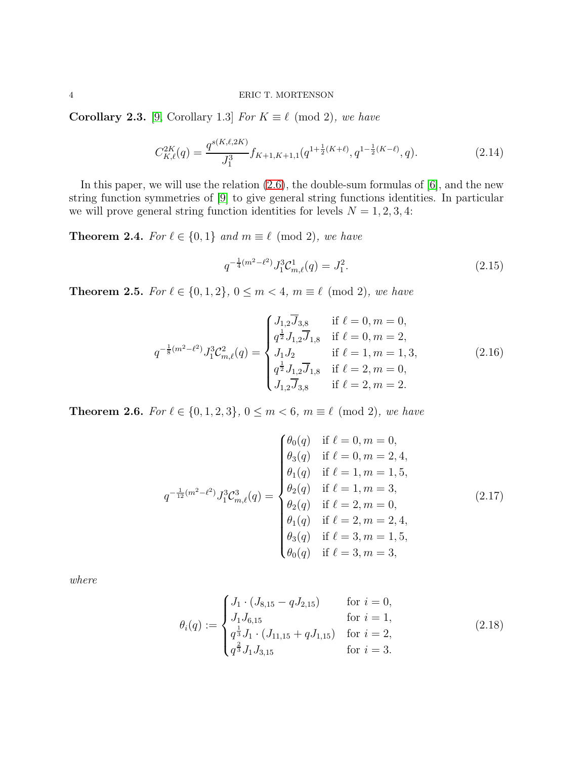**Corollary 2.3.** [\[9,](#page-26-5) Corollary 1.3] For  $K \equiv \ell \pmod{2}$ , we have

$$
C_{K,\ell}^{2K}(q) = \frac{q^{s(K,\ell,2K)}}{J_1^3} f_{K+1,K+1,1}(q^{1+\frac{1}{2}(K+\ell)}, q^{1-\frac{1}{2}(K-\ell)}, q). \tag{2.14}
$$

In this paper, we will use the relation [\(2.6\)](#page-2-0), the double-sum formulas of [\[6\]](#page-26-0), and the new string function symmetries of [\[9\]](#page-26-5) to give general string functions identities. In particular we will prove general string function identities for levels  $N = 1, 2, 3, 4$ :

<span id="page-3-0"></span>**Theorem 2.4.** For  $\ell \in \{0, 1\}$  and  $m \equiv \ell \pmod{2}$ , we have

$$
q^{-\frac{1}{4}(m^2 - \ell^2)} J_1^3 \mathcal{C}_{m,\ell}^1(q) = J_1^2. \tag{2.15}
$$

<span id="page-3-1"></span>**Theorem 2.5.** For  $\ell \in \{0, 1, 2\}$ ,  $0 \le m < 4$ ,  $m \equiv \ell \pmod{2}$ , we have

<span id="page-3-3"></span>
$$
q^{-\frac{1}{8}(m^2-\ell^2)} J_1^3 \mathcal{C}_{m,\ell}^2(q) = \begin{cases} J_{1,2} \overline{J}_{3,8} & \text{if } \ell = 0, m = 0, \\ q^{\frac{1}{2}} J_{1,2} \overline{J}_{1,8} & \text{if } \ell = 0, m = 2, \\ J_1 J_2 & \text{if } \ell = 1, m = 1, 3, \\ q^{\frac{1}{2}} J_{1,2} \overline{J}_{1,8} & \text{if } \ell = 2, m = 0, \\ J_{1,2} \overline{J}_{3,8} & \text{if } \ell = 2, m = 2. \end{cases} \tag{2.16}
$$

<span id="page-3-2"></span>**Theorem 2.6.** For  $\ell \in \{0, 1, 2, 3\}$ ,  $0 \le m < 6$ ,  $m \equiv \ell \pmod{2}$ , we have

<span id="page-3-4"></span>
$$
q^{-\frac{1}{12}(m^2-\ell^2)} J_1^3 C_{m,\ell}^3(q) = \begin{cases} \theta_0(q) & \text{if } \ell = 0, m = 0, \\ \theta_3(q) & \text{if } \ell = 0, m = 2, 4, \\ \theta_1(q) & \text{if } \ell = 1, m = 1, 5, \\ \theta_2(q) & \text{if } \ell = 1, m = 3, \\ \theta_2(q) & \text{if } \ell = 2, m = 0, \\ \theta_1(q) & \text{if } \ell = 2, m = 2, 4, \\ \theta_3(q) & \text{if } \ell = 3, m = 1, 5, \\ \theta_0(q) & \text{if } \ell = 3, m = 3, \end{cases} (2.17)
$$

where

$$
\theta_i(q) := \begin{cases} J_1 \cdot (J_{8,15} - q J_{2,15}) & \text{for } i = 0, \\ J_1 J_{6,15} & \text{for } i = 1, \\ q^{\frac{1}{3}} J_1 \cdot (J_{11,15} + q J_{1,15}) & \text{for } i = 2, \\ q^{\frac{2}{3}} J_1 J_{3,15} & \text{for } i = 3. \end{cases}
$$
(2.18)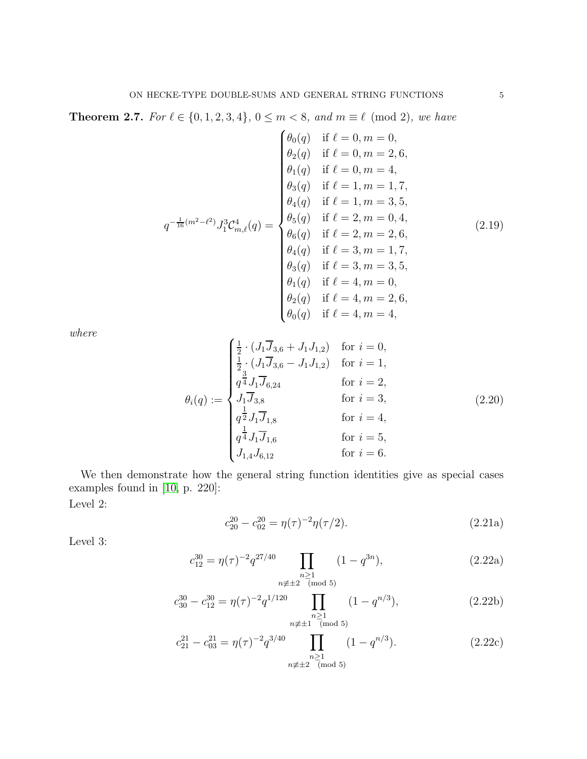<span id="page-4-0"></span>**Theorem 2.7.** For  $\ell \in \{0, 1, 2, 3, 4\}$ , 0 ≤ m < 8, and m  $\equiv \ell \pmod{2}$ , we have

<span id="page-4-4"></span>
$$
q^{-\frac{1}{16}(m^2-\ell^2)} J_1^3 C_{m,\ell}^4(q) = \begin{cases} \theta_0(q) & \text{if } \ell = 0, m = 0, \\ \theta_2(q) & \text{if } \ell = 0, m = 2, 6, \\ \theta_1(q) & \text{if } \ell = 0, m = 4, \\ \theta_3(q) & \text{if } \ell = 1, m = 1, 7, \\ \theta_4(q) & \text{if } \ell = 1, m = 3, 5, \\ \theta_5(q) & \text{if } \ell = 2, m = 0, 4, \\ \theta_6(q) & \text{if } \ell = 2, m = 2, 6, \\ \theta_4(q) & \text{if } \ell = 3, m = 1, 7, \\ \theta_3(q) & \text{if } \ell = 3, m = 3, 5, \\ \theta_1(q) & \text{if } \ell = 4, m = 0, \\ \theta_2(q) & \text{if } \ell = 4, m = 2, 6, \\ \theta_0(q) & \text{if } \ell = 4, m = 4, \end{cases} (2.19)
$$

where

$$
\theta_{i}(q) := \begin{cases}\n\frac{1}{2} \cdot (J_{1} \overline{J}_{3,6} + J_{1} J_{1,2}) & \text{for } i = 0, \\
\frac{1}{2} \cdot (J_{1} \overline{J}_{3,6} - J_{1} J_{1,2}) & \text{for } i = 1, \\
q^{\frac{3}{4}} J_{1} \overline{J}_{6,24} & \text{for } i = 2, \\
J_{1} \overline{J}_{3,8} & \text{for } i = 3, \\
q^{\frac{1}{2}} J_{1} \overline{J}_{1,8} & \text{for } i = 4, \\
\frac{1}{4} J_{1} \overline{J}_{1,6} & \text{for } i = 5, \\
J_{1,4} J_{6,12} & \text{for } i = 6.\n\end{cases}
$$
\n(2.20)

We then demonstrate how the general string function identities give as special cases examples found in [\[10,](#page-26-1) p. 220]: Level 2:

<span id="page-4-5"></span><span id="page-4-3"></span><span id="page-4-2"></span><span id="page-4-1"></span>
$$
c_{20}^{20} - c_{02}^{20} = \eta(\tau)^{-2} \eta(\tau/2). \tag{2.21a}
$$

Level 3:

$$
c_{12}^{30} = \eta(\tau)^{-2} q^{27/40} \prod_{\substack{n \ge 1 \\ n \not\equiv \pm 2 \pmod{5}}} (1 - q^{3n}),
$$
 (2.22a)

$$
c_{30}^{30} - c_{12}^{30} = \eta(\tau)^{-2} q^{1/120} \prod_{\substack{n \ge 1 \\ n \not\equiv \pm 1 \pmod{5}}} (1 - q^{n/3}), \tag{2.22b}
$$

$$
c_{21}^{21} - c_{03}^{21} = \eta(\tau)^{-2} q^{3/40} \prod_{\substack{n \ge 1 \\ n \not\equiv \pm 2 \pmod{5}}} (1 - q^{n/3}). \tag{2.22c}
$$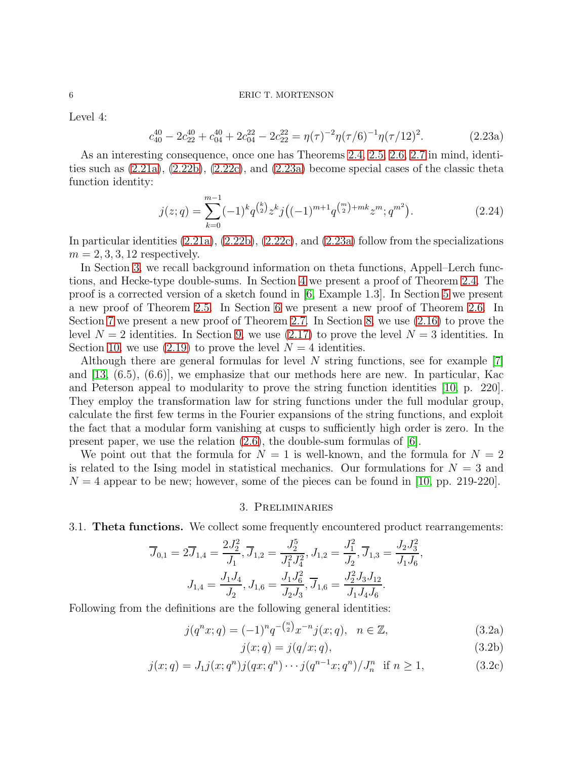Level 4:

$$
c_{40}^{40} - 2c_{22}^{40} + c_{04}^{40} + 2c_{04}^{22} - 2c_{22}^{22} = \eta(\tau)^{-2}\eta(\tau/6)^{-1}\eta(\tau/12)^2.
$$
 (2.23a)

As an interesting consequence, once one has Theorems [2.4,](#page-3-0) [2.5,](#page-3-1) [2.6,](#page-3-2) [2.7](#page-4-0) in mind, identities such as  $(2.21a)$ ,  $(2.22b)$ ,  $(2.22c)$ , and  $(2.23a)$  become special cases of the classic theta function identity:

<span id="page-5-2"></span><span id="page-5-0"></span>
$$
j(z;q) = \sum_{k=0}^{m-1} (-1)^k q^{\binom{k}{2}} z^k j \left( (-1)^{m+1} q^{\binom{m}{2} + mk} z^m; q^{m^2} \right).
$$
 (2.24)

In particular identities  $(2.21a)$ ,  $(2.22b)$ ,  $(2.22c)$ , and  $(2.23a)$  follow from the specializations  $m = 2, 3, 3, 12$  respectively.

In Section [3,](#page-5-1) we recall background information on theta functions, Appell–Lerch functions, and Hecke-type double-sums. In Section [4](#page-11-0) we present a proof of Theorem [2.4.](#page-3-0) The proof is a corrected version of a sketch found in [\[6,](#page-26-0) Example 1.3]. In Section [5](#page-11-1) we present a new proof of Theorem [2.5.](#page-3-1) In Section [6](#page-13-0) we present a new proof of Theorem [2.6.](#page-3-2) In Section [7](#page-15-0) we present a new proof of Theorem [2.7.](#page-4-0) In Section [8,](#page-23-0) we use [\(2.16\)](#page-3-3) to prove the level  $N = 2$  identities. In Section [9,](#page-24-0) we use [\(2.17\)](#page-3-4) to prove the level  $N = 3$  identities. In Section [10,](#page-25-0) we use  $(2.19)$  to prove the level  $N = 4$  identities.

Although there are general formulas for level  $N$  string functions, see for example  $|7|$ and [\[13,](#page-26-4) (6.5), (6.6)], we emphasize that our methods here are new. In particular, Kac and Peterson appeal to modularity to prove the string function identities [\[10,](#page-26-1) p. 220]. They employ the transformation law for string functions under the full modular group, calculate the first few terms in the Fourier expansions of the string functions, and exploit the fact that a modular form vanishing at cusps to sufficiently high order is zero. In the present paper, we use the relation [\(2.6\)](#page-2-0), the double-sum formulas of [\[6\]](#page-26-0).

We point out that the formula for  $N = 1$  is well-known, and the formula for  $N = 2$ is related to the Ising model in statistical mechanics. Our formulations for  $N = 3$  and  $N = 4$  appear to be new; however, some of the pieces can be found in [\[10,](#page-26-1) pp. 219-220].

#### 3. Preliminaries

<span id="page-5-1"></span>3.1. Theta functions. We collect some frequently encountered product rearrangements:

$$
\overline{J}_{0,1} = 2\overline{J}_{1,4} = \frac{2J_2^2}{J_1}, \overline{J}_{1,2} = \frac{J_2^5}{J_1^2 J_4^2}, J_{1,2} = \frac{J_1^2}{J_2}, \overline{J}_{1,3} = \frac{J_2 J_3^2}{J_1 J_6},
$$

$$
J_{1,4} = \frac{J_1 J_4}{J_2}, J_{1,6} = \frac{J_1 J_6^2}{J_2 J_3}, \overline{J}_{1,6} = \frac{J_2^2 J_3 J_{12}}{J_1 J_4 J_6}.
$$

<span id="page-5-4"></span><span id="page-5-3"></span>n

Following from the definitions are the following general identities:

$$
j(q^n x; q) = (-1)^n q^{-\binom{n}{2}} x^{-n} j(x; q), \quad n \in \mathbb{Z}, \tag{3.2a}
$$

$$
j(x;q) = j(q/x;q),\tag{3.2b}
$$

$$
j(x;q) = J_1 j(x;q^n) j(qx;q^n) \cdots j(q^{n-1}x;q^n) / J_n^n \text{ if } n \ge 1,
$$
 (3.2c)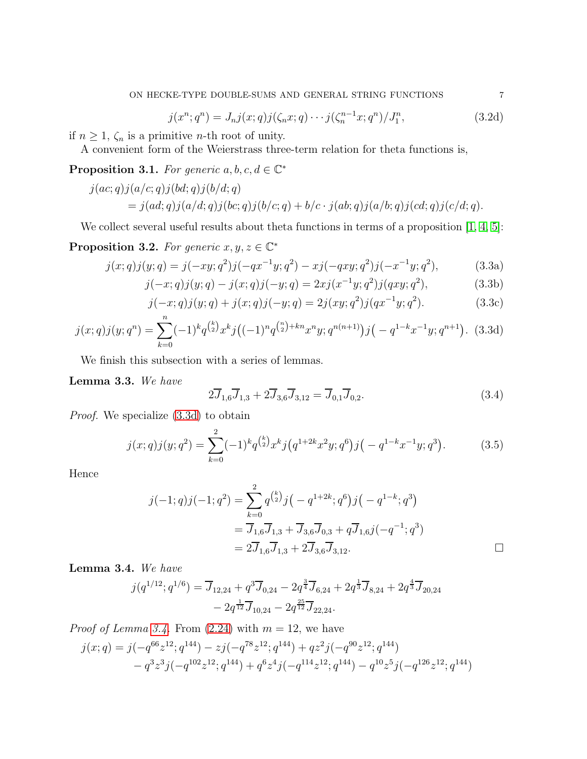<span id="page-6-5"></span>
$$
j(x^{n}; q^{n}) = J_{n}j(x; q)j(\zeta_{n}x; q) \cdots j(\zeta_{n}^{n-1}x; q^{n})/J_{1}^{n},
$$
\n(3.2d)

if  $n \geq 1$ ,  $\zeta_n$  is a primitive *n*-th root of unity.

A convenient form of the Weierstrass three-term relation for theta functions is,

<span id="page-6-6"></span>**Proposition 3.1.** For generic  $a, b, c, d \in \mathbb{C}^*$ 

$$
j(ac;q)j(a/c;q)j(bd;q)j(b/d;q)
$$
  
=  $j(ad;q)j(a/d;q)j(bc;q)j(b/c;q) + b/c \cdot j(ab;q)j(a/b;q)j(cd;q)j(c/d;q).$ 

We collect several useful results about theta functions in terms of a proposition [\[1,](#page-26-9) [4,](#page-26-6) [5\]](#page-26-7):

**Proposition 3.2.** For generic  $x, y, z \in \mathbb{C}^*$ 

$$
j(x;q)j(y;q) = j(-xy;q^2)j(-qx^{-1}y;q^2) - xj(-qxy;q^2)j(-x^{-1}y;q^2),
$$
\n(3.3a)

$$
j(-x;q)j(y;q) - j(x;q)j(-y;q) = 2xj(x^{-1}y;q^2)j(qxy;q^2),
$$
\n(3.3b)

$$
j(-x;q)j(y;q) + j(x;q)j(-y;q) = 2j(xy;q^2)j(qx^{-1}y;q^2).
$$
 (3.3c)

$$
j(x;q)j(y;q^n) = \sum_{k=0}^n (-1)^k q^{\binom{k}{2}} x^k j \big((-1)^n q^{\binom{n}{2}+kn} x^n y; q^{n(n+1)}\big) j\big(-q^{1-k} x^{-1} y; q^{n+1}\big). \tag{3.3d}
$$

We finish this subsection with a series of lemmas.

<span id="page-6-4"></span>Lemma 3.3. We have

<span id="page-6-7"></span><span id="page-6-3"></span><span id="page-6-2"></span><span id="page-6-0"></span>
$$
2\overline{J}_{1,6}\overline{J}_{1,3} + 2\overline{J}_{3,6}\overline{J}_{3,12} = \overline{J}_{0,1}\overline{J}_{0,2}.
$$
\n(3.4)

Proof. We specialize [\(3.3d\)](#page-6-0) to obtain

$$
j(x;q)j(y;q^2) = \sum_{k=0}^{2} (-1)^k q^{\binom{k}{2}} x^k j \left( q^{1+2k} x^2 y; q^6 \right) j \left( -q^{1-k} x^{-1} y; q^3 \right). \tag{3.5}
$$

Hence

$$
j(-1;q)j(-1;q^2) = \sum_{k=0}^{2} q^{\binom{k}{2}} j\left(-q^{1+2k};q^6\right) j\left(-q^{1-k};q^3\right)
$$
  
=  $\overline{J}_{1,6} \overline{J}_{1,3} + \overline{J}_{3,6} \overline{J}_{0,3} + q \overline{J}_{1,6} j\left(-q^{-1};q^3\right)$   
=  $2 \overline{J}_{1,6} \overline{J}_{1,3} + 2 \overline{J}_{3,6} \overline{J}_{3,12}.$ 

<span id="page-6-1"></span>Lemma 3.4. We have

$$
j(q^{1/12};q^{1/6}) = \overline{J}_{12,24} + q^3 \overline{J}_{0,24} - 2q^{\frac{3}{4}} \overline{J}_{6,24} + 2q^{\frac{1}{3}} \overline{J}_{8,24} + 2q^{\frac{4}{3}} \overline{J}_{20,24} - 2q^{\frac{1}{12}} \overline{J}_{10,24} - 2q^{\frac{25}{12}} \overline{J}_{22,24}.
$$

*Proof of Lemma [3.4.](#page-6-1)* From  $(2.24)$  with  $m = 12$ , we have

$$
j(x;q) = j(-q^{66}z^{12};q^{144}) - zj(-q^{78}z^{12};q^{144}) + qz^2j(-q^{90}z^{12};q^{144}) - q^3z^3j(-q^{102}z^{12};q^{144}) + q^6z^4j(-q^{114}z^{12};q^{144}) - q^{10}z^5j(-q^{126}z^{12};q^{144})
$$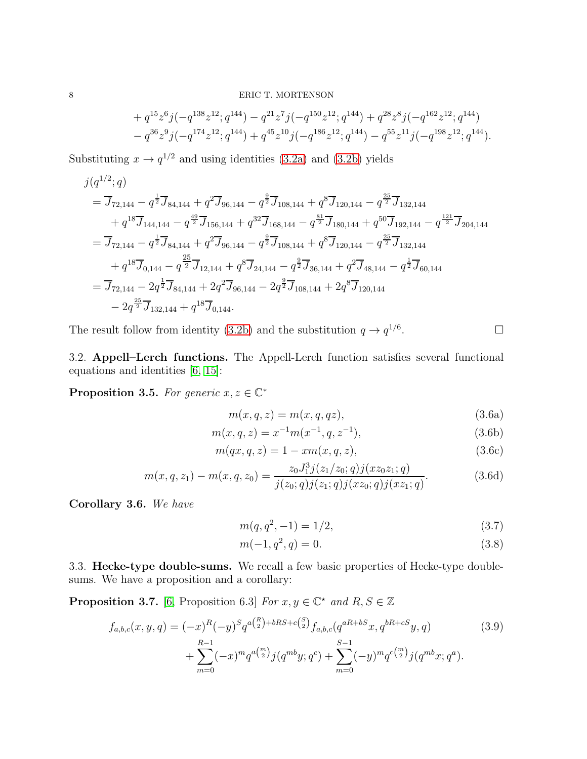$$
+ q^{15}z^{6}j(-q^{138}z^{12};q^{144}) - q^{21}z^{7}j(-q^{150}z^{12};q^{144}) + q^{28}z^{8}j(-q^{162}z^{12};q^{144}) - q^{36}z^{9}j(-q^{174}z^{12};q^{144}) + q^{45}z^{10}j(-q^{186}z^{12};q^{144}) - q^{55}z^{11}j(-q^{198}z^{12};q^{144}).
$$

Substituting  $x \to q^{1/2}$  and using identities [\(3.2a\)](#page-5-3) and [\(3.2b\)](#page-5-4) yields

$$
j(q^{1/2}; q)
$$
\n
$$
= \overline{J}_{72,144} - q^{\frac{1}{2}} \overline{J}_{84,144} + q^2 \overline{J}_{96,144} - q^{\frac{9}{2}} \overline{J}_{108,144} + q^8 \overline{J}_{120,144} - q^{\frac{25}{2}} \overline{J}_{132,144}
$$
\n
$$
+ q^{18} \overline{J}_{144,144} - q^{\frac{49}{2}} \overline{J}_{156,144} + q^{32} \overline{J}_{168,144} - q^{\frac{81}{2}} \overline{J}_{180,144} + q^{50} \overline{J}_{192,144} - q^{\frac{121}{2}} \overline{J}_{204,144}
$$
\n
$$
= \overline{J}_{72,144} - q^{\frac{1}{2}} \overline{J}_{84,144} + q^2 \overline{J}_{96,144} - q^{\frac{9}{2}} \overline{J}_{108,144} + q^8 \overline{J}_{120,144} - q^{\frac{25}{2}} \overline{J}_{132,144}
$$
\n
$$
+ q^{18} \overline{J}_{0,144} - q^{\frac{25}{2}} \overline{J}_{12,144} + q^8 \overline{J}_{24,144} - q^{\frac{9}{2}} \overline{J}_{36,144} + q^2 \overline{J}_{48,144} - q^{\frac{1}{2}} \overline{J}_{60,144}
$$
\n
$$
= \overline{J}_{72,144} - 2q^{\frac{1}{2}} \overline{J}_{84,144} + 2q^2 \overline{J}_{96,144} - 2q^{\frac{9}{2}} \overline{J}_{108,144} + 2q^8 \overline{J}_{120,144}
$$
\n
$$
- 2q^{\frac{25}{2}} \overline{J}_{132,144} + q^{18} \overline{J}_{0,144}.
$$

The result follow from identity [\(3.2b\)](#page-5-4) and the substitution  $q \to q^{1/6}$ .

3.2. Appell–Lerch functions. The Appell-Lerch function satisfies several functional equations and identities [\[6,](#page-26-0) [15\]](#page-26-10):

**Proposition 3.5.** For generic  $x, z \in \mathbb{C}^*$ 

$$
m(x, q, z) = m(x, q, qz), \qquad (3.6a)
$$

$$
m(x, q, z) = x^{-1} m(x^{-1}, q, z^{-1}),
$$
\n(3.6b)

$$
m(qx, q, z) = 1 - xm(x, q, z),
$$
\n(3.6c)

$$
m(x, q, z_1) - m(x, q, z_0) = \frac{z_0 J_1^3 j(z_1/z_0; q) j(xz_0 z_1; q)}{j(z_0; q) j(z_1; q) j(xz_0; q) j(xz_1; q)}.
$$
(3.6d)

Corollary 3.6. We have

<span id="page-7-1"></span>
$$
m(q, q^2, -1) = 1/2, \tag{3.7}
$$

<span id="page-7-0"></span>
$$
m(-1, q^2, q) = 0. \t\t(3.8)
$$

3.3. Hecke-type double-sums. We recall a few basic properties of Hecke-type doublesums. We have a proposition and a corollary:

**Proposition 3.7.** [\[6,](#page-26-0) Proposition 6.3] For  $x, y \in \mathbb{C}^*$  and  $R, S \in \mathbb{Z}$ 

$$
f_{a,b,c}(x,y,q) = (-x)^R (-y)^S q^{a {R \choose 2} + bRS + c {S \choose 2}} f_{a,b,c}(q^{aR+bS}x, q^{bR+cS}y, q)
$$
  
+ 
$$
\sum_{m=0}^{R-1} (-x)^m q^{a {m \choose 2}} j(q^{mb}y; q^c) + \sum_{m=0}^{S-1} (-y)^m q^{c {m \choose 2}} j(q^{mb}x; q^a).
$$
(3.9)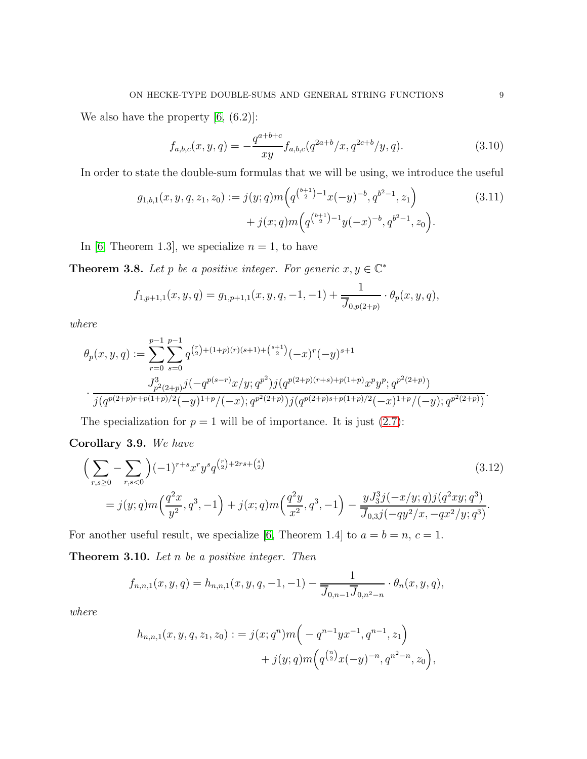We also have the property  $[6, (6.2)]$ :

<span id="page-8-2"></span>
$$
f_{a,b,c}(x,y,q) = -\frac{q^{a+b+c}}{xy} f_{a,b,c}(q^{2a+b}/x, q^{2c+b}/y, q). \tag{3.10}
$$

In order to state the double-sum formulas that we will be using, we introduce the useful

$$
g_{1,b,1}(x, y, q, z_1, z_0) := j(y; q)m\left(q^{\binom{b+1}{2}-1}x(-y)^{-b}, q^{b^2-1}, z_1\right) + j(x; q)m\left(q^{\binom{b+1}{2}-1}y(-x)^{-b}, q^{b^2-1}, z_0\right).
$$
(3.11)

In [\[6,](#page-26-0) Theorem 1.3], we specialize  $n = 1$ , to have

<span id="page-8-1"></span>**Theorem 3.8.** Let p be a positive integer. For generic  $x, y \in \mathbb{C}^*$ 

$$
f_{1,p+1,1}(x,y,q) = g_{1,p+1,1}(x,y,q,-1,-1) + \frac{1}{\overline{J}_{0,p(2+p)}} \cdot \theta_p(x,y,q),
$$

where

$$
\theta_p(x, y, q) := \sum_{r=0}^{p-1} \sum_{s=0}^{p-1} q^{\binom{r}{2} + (1+p)(r)(s+1) + \binom{s+1}{2}} (-x)^r (-y)^{s+1}
$$

$$
\cdot \frac{J_{p^2(2+p)}^3 j(-q^{p(s-r)}x/y; q^{p^2}) j(q^{p(2+p)(r+s)+p(1+p)}x^p y^p; q^{p^2(2+p)})}{j(q^{p(2+p)r+p(1+p)/2}(-y)^{1+p}/(-x); q^{p^2(2+p)}) j(q^{p(2+p)s+p(1+p)/2}(-x)^{1+p}/(-y); q^{p^2(2+p)})}.
$$

The specialization for  $p = 1$  will be of importance. It is just  $(2.7)$ :

Corollary 3.9. We have

$$
\left(\sum_{r,s\geq 0} -\sum_{r,s<0} \right) (-1)^{r+s} x^r y^s q^{\binom{r}{2}+2rs+\binom{s}{2}} \tag{3.12}
$$
\n
$$
= j(y;q)m\left(\frac{q^2x}{y^2},q^3,-1\right) + j(x;q)m\left(\frac{q^2y}{x^2},q^3,-1\right) - \frac{yJ_3^3j(-x/y;q)j(q^2xy;q^3)}{\overline{J}_{0,3}j(-qy^2/x,-qx^2/y;q^3)}.
$$

For another useful result, we specialize [\[6,](#page-26-0) Theorem 1.4] to  $a = b = n, c = 1$ .

<span id="page-8-0"></span>**Theorem 3.10.** Let  $n$  be a positive integer. Then

$$
f_{n,n,1}(x,y,q) = h_{n,n,1}(x,y,q,-1,-1) - \frac{1}{\overline{J}_{0,n-1}\overline{J}_{0,n^2-n}} \cdot \theta_n(x,y,q),
$$

where

$$
h_{n,n,1}(x, y, q, z_1, z_0) := j(x; q^n) m\left(-q^{n-1} y x^{-1}, q^{n-1}, z_1\right) + j(y; q) m\left(q^{\binom{n}{2}} x(-y)^{-n}, q^{n^2-n}, z_0\right),
$$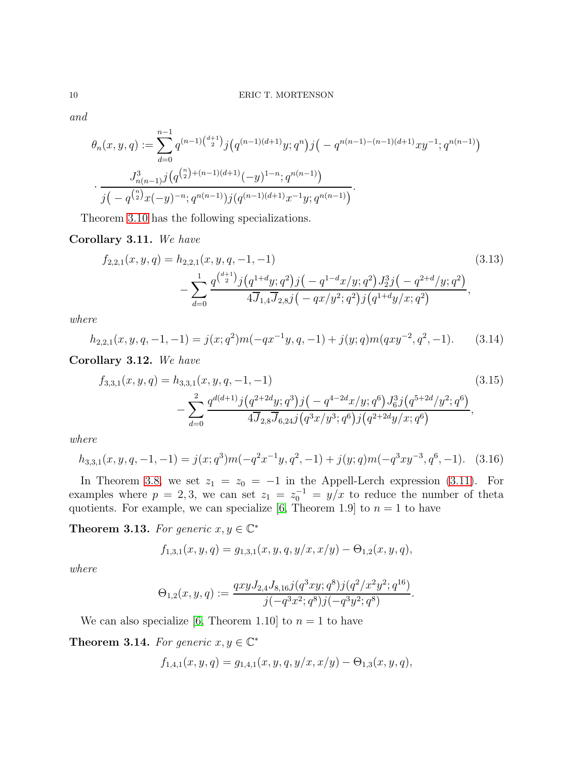and

$$
\theta_n(x, y, q) := \sum_{d=0}^{n-1} q^{(n-1)\binom{d+1}{2}} j\left(q^{(n-1)(d+1)}y; q^n\right) j\left(-q^{n(n-1)-(n-1)(d+1)}xy^{-1}; q^{n(n-1)}\right)
$$

$$
\cdot \frac{J_{n(n-1)}^3 j\left(q^{\binom{n}{2}+(n-1)(d+1)}(-y)^{1-n}; q^{n(n-1)}\right)}{j\left(-q^{\binom{n}{2}}x(-y)^{-n}; q^{n(n-1)}\right)j\left(q^{(n-1)(d+1)}x^{-1}y; q^{n(n-1)}\right)}.
$$

Theorem [3.10](#page-8-0) has the following specializations.

## <span id="page-9-4"></span>Corollary 3.11. We have

$$
f_{2,2,1}(x,y,q) = h_{2,2,1}(x,y,q,-1,-1)
$$
\n
$$
- \sum_{d=0}^{1} \frac{q^{\binom{d+1}{2}} j \left( q^{1+d} y;q^2 \right) j \left( -q^{1-d} x/y;q^2 \right) J_2^3 j \left( -q^{2+d}/y;q^2 \right)}{4 J_{1,4} J_{2,8} j \left( -q x/y^2;q^2 \right) j \left( q^{1+d} y/x;q^2 \right)},
$$
\n(3.13)

where

$$
h_{2,2,1}(x,y,q,-1,-1) = j(x;q^2)m(-qx^{-1}y,q,-1) + j(y;q)m(qxy^{-2},q^2,-1).
$$
 (3.14)

<span id="page-9-2"></span>Corollary 3.12. We have

$$
f_{3,3,1}(x,y,q) = h_{3,3,1}(x,y,q,-1,-1)
$$
\n
$$
- \sum_{d=0}^{2} \frac{q^{d(d+1)}j(q^{2+2d}y;q^3)j(-q^{4-2d}x/y;q^6)J_6^3j(q^{5+2d}/y^2;q^6)}{4\overline{J}_{2,8}\overline{J}_{6,24}j(q^3x/y^3;q^6)j(q^{2+2d}y/x;q^6)},
$$
\n(3.15)

where

$$
h_{3,3,1}(x,y,q,-1,-1) = j(x;q^3)m(-q^2x^{-1}y,q^2,-1) + j(y;q)m(-q^3xy^{-3},q^6,-1). \tag{3.16}
$$

In Theorem [3.8,](#page-8-1) we set  $z_1 = z_0 = -1$  in the Appell-Lerch expression [\(3.11\)](#page-8-2). For examples where  $p = 2, 3$ , we can set  $z_1 = z_0^{-1} = y/x$  to reduce the number of theta quotients. For example, we can specialize [\[6,](#page-26-0) Theorem 1.9] to  $n = 1$  to have

<span id="page-9-0"></span>**Theorem 3.13.** For generic  $x, y \in \mathbb{C}^*$ 

<span id="page-9-3"></span>
$$
f_{1,3,1}(x,y,q) = g_{1,3,1}(x,y,q,y/x,x/y) - \Theta_{1,2}(x,y,q),
$$

where

$$
\Theta_{1,2}(x,y,q) := \frac{qxyJ_{2,4}J_{8,16}j(q^3xy;q^8)j(q^2/x^2y^2;q^{16})}{j(-q^3x^2;q^8)j(-q^3y^2;q^8)}.
$$

We can also specialize [\[6,](#page-26-0) Theorem 1.10] to  $n = 1$  to have

<span id="page-9-1"></span>**Theorem 3.14.** For generic  $x, y \in \mathbb{C}^*$ 

$$
f_{1,4,1}(x,y,q) = g_{1,4,1}(x,y,q,y/x,x/y) - \Theta_{1,3}(x,y,q),
$$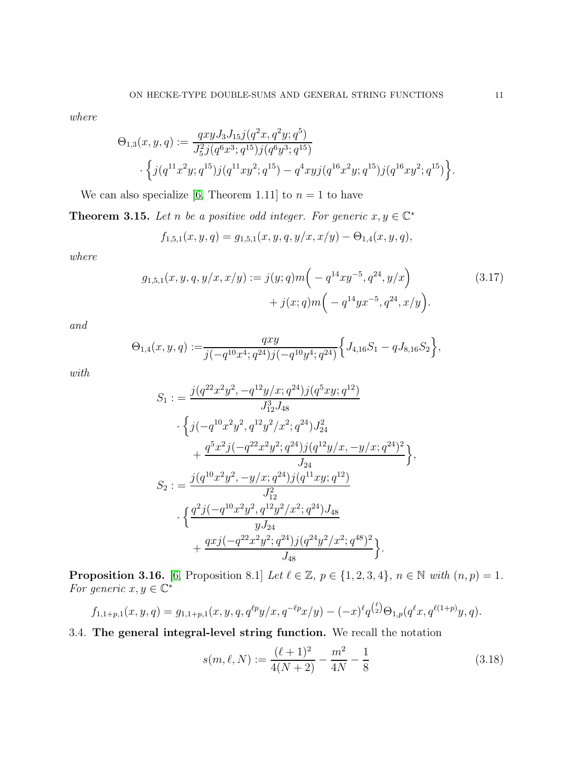where

$$
\Theta_{1,3}(x,y,q) := \frac{qxy J_3 J_{15} j(q^2x, q^2y; q^5)}{J_5^2 j(q^6x^3; q^{15}) j(q^6y^3; q^{15})} \cdot \left\{ j(q^{11}x^2y; q^{15}) j(q^{11}xy^2; q^{15}) - q^4xy j(q^{16}x^2y; q^{15}) j(q^{16}xy^2; q^{15}) \right\}
$$

We can also specialize [\[6,](#page-26-0) Theorem 1.11] to  $n = 1$  to have

<span id="page-10-1"></span>**Theorem 3.15.** Let n be a positive odd integer. For generic  $x, y \in \mathbb{C}^*$ 

$$
f_{1,5,1}(x,y,q) = g_{1,5,1}(x,y,q,y/x,x/y) - \Theta_{1,4}(x,y,q),
$$

where

$$
g_{1,5,1}(x,y,q,y/x,x/y) := j(y;q)m\left(-q^{14}xy^{-5},q^{24},y/x\right) + j(x;q)m\left(-q^{14}yx^{-5},q^{24},x/y\right).
$$
 (3.17)

and

$$
\Theta_{1,4}(x,y,q):=\!\frac{qxy}{j(-q^{10}x^4;q^{24})j(-q^{10}y^4;q^{24})}\Big\{J_{4,16}S_1-qJ_{8,16}S_2\Big\},
$$

with

$$
S_1 := \frac{j(q^{22}x^2y^2, -q^{12}y/x; q^{24})j(q^5xy; q^{12})}{J_{12}^3 J_{48}} \cdot \left\{ j(-q^{10}x^2y^2, q^{12}y^2/x^2; q^{24})J_{24}^2 + \frac{q^5x^2j(-q^{22}x^2y^2; q^{24})j(q^{12}y/x, -y/x; q^{24})^2}{J_{24}} \right\},
$$
  

$$
S_2 := \frac{j(q^{10}x^2y^2, -y/x; q^{24})j(q^{11}xy; q^{12})}{J_{12}^2} \cdot \left\{ \frac{q^2j(-q^{10}x^2y^2, q^{12}y^2/x^2; q^{24})J_{48}}{yJ_{24}} + \frac{qxy(-q^{22}x^2y^2; q^{24})j(q^{24}y^2/x^2; q^{48})^2}{J_{48}} \right\}.
$$

<span id="page-10-0"></span>**Proposition 3.16.** [\[6,](#page-26-0) Proposition 8.1] Let  $\ell \in \mathbb{Z}$ ,  $p \in \{1, 2, 3, 4\}$ ,  $n \in \mathbb{N}$  with  $(n, p) = 1$ . For generic  $x, y \in \mathbb{C}^*$ 

$$
f_{1,1+p,1}(x,y,q) = g_{1,1+p,1}(x,y,q,q^{\ell p}y/x,q^{-\ell p}x/y) - (-x)^{\ell}q^{\binom{\ell}{2}}\Theta_{1,p}(q^{\ell}x,q^{\ell(1+p)}y,q).
$$

3.4. The general integral-level string function. We recall the notation

$$
s(m, \ell, N) := \frac{(\ell + 1)^2}{4(N + 2)} - \frac{m^2}{4N} - \frac{1}{8}
$$
\n(3.18)

.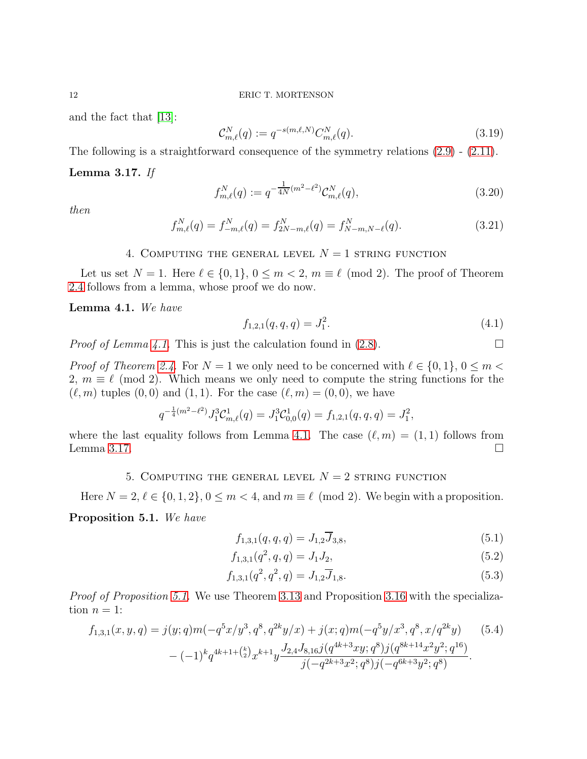and the fact that [\[13\]](#page-26-4):

$$
\mathcal{C}_{m,\ell}^{N}(q) := q^{-s(m,\ell,N)} C_{m,\ell}^{N}(q). \tag{3.19}
$$

The following is a straightforward consequence of the symmetry relations [\(2.9\)](#page-2-2) - [\(2.11\)](#page-2-3).

### <span id="page-11-3"></span>Lemma 3.17. If

$$
f_{m,\ell}^N(q) := q^{-\frac{1}{4N}(m^2 - \ell^2)} \mathcal{C}_{m,\ell}^N(q), \tag{3.20}
$$

then

$$
f_{m,\ell}^N(q) = f_{-m,\ell}^N(q) = f_{2N-m,\ell}^N(q) = f_{N-m,N-\ell}^N(q). \tag{3.21}
$$

## 4. COMPUTING THE GENERAL LEVEL  $N = 1$  string function

<span id="page-11-0"></span>Let us set  $N = 1$ . Here  $\ell \in \{0, 1\}$ ,  $0 \leq m < 2$ ,  $m \equiv \ell \pmod{2}$ . The proof of Theorem [2.4](#page-3-0) follows from a lemma, whose proof we do now.

<span id="page-11-2"></span>Lemma 4.1. We have

$$
f_{1,2,1}(q,q,q) = J_1^2. \tag{4.1}
$$

*Proof of Lemma [4.1.](#page-11-2)* This is just the calculation found in  $(2.8)$ .

*Proof of Theorem [2.4.](#page-3-0)* For  $N = 1$  we only need to be concerned with  $\ell \in \{0, 1\}$ ,  $0 \leq m$ 2,  $m \equiv \ell \pmod{2}$ . Which means we only need to compute the string functions for the  $(\ell, m)$  tuples  $(0, 0)$  and  $(1, 1)$ . For the case  $(\ell, m) = (0, 0)$ , we have

$$
q^{-\frac{1}{4}(m^2-\ell^2)} J_1^3 \mathcal{C}^1_{m,\ell}(q) = J_1^3 \mathcal{C}^1_{0,0}(q) = f_{1,2,1}(q,q,q) = J_1^2,
$$

<span id="page-11-1"></span>where the last equality follows from Lemma [4.1.](#page-11-2) The case  $(\ell, m) = (1, 1)$  follows from Lemma [3.17.](#page-11-3)  $\Box$ 

## 5. COMPUTING THE GENERAL LEVEL  $N = 2$  string function

Here  $N = 2, \ell \in \{0, 1, 2\}, 0 \le m < 4$ , and  $m \equiv \ell \pmod{2}$ . We begin with a proposition.

<span id="page-11-4"></span>Proposition 5.1. We have

<span id="page-11-8"></span><span id="page-11-7"></span><span id="page-11-5"></span>
$$
f_{1,3,1}(q,q,q) = J_{1,2}\overline{J}_{3,8},\tag{5.1}
$$

<span id="page-11-6"></span>
$$
f_{1,3,1}(q^2, q, q) = J_1 J_2,\tag{5.2}
$$

$$
f_{1,3,1}(q^2, q^2, q) = J_{1,2}\overline{J}_{1,8}.
$$
\n(5.3)

*Proof of Proposition [5.1.](#page-11-4)* We use Theorem [3.13](#page-9-0) and Proposition [3.16](#page-10-0) with the specialization  $n = 1$ :

$$
f_{1,3,1}(x,y,q) = j(y;q)m(-q^5x/y^3, q^8, q^{2k}y/x) + j(x;q)m(-q^5y/x^3, q^8, x/q^{2k}y)
$$
(5.4)  

$$
-(-1)^k q^{4k+1+\binom{k}{2}}x^{k+1}y \frac{J_{2,4}J_{8,16}j(q^{4k+3}xy;q^8)j(q^{8k+14}x^2y^2;q^{16})}{j(-q^{2k+3}x^2;q^8)j(-q^{6k+3}y^2;q^8)}.
$$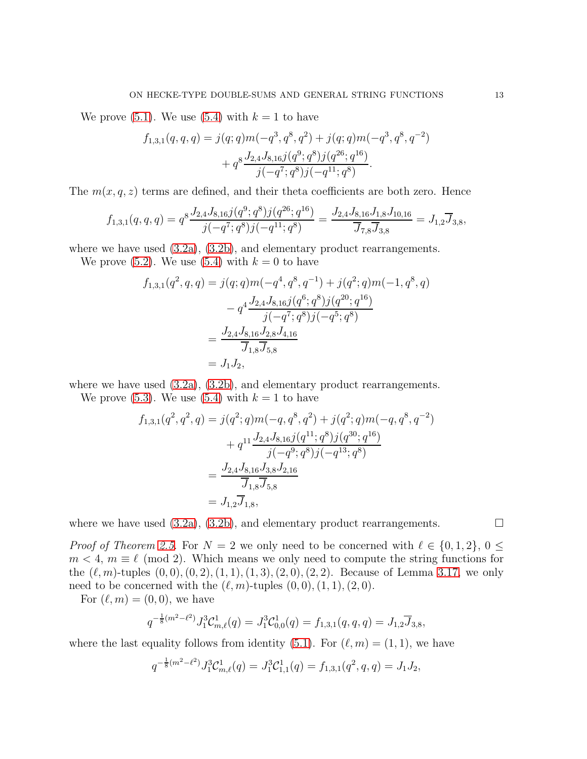We prove  $(5.1)$ . We use  $(5.4)$  with  $k = 1$  to have

$$
f_{1,3,1}(q,q,q) = j(q;q)m(-q^3, q^8, q^2) + j(q;q)m(-q^3, q^8, q^{-2})
$$
  
+ 
$$
q^8 \frac{J_{2,4}J_{8,16}j(q^9;q^8)j(q^{26};q^{16})}{j(-q^7;q^8)j(-q^{11};q^8)}.
$$

The  $m(x, q, z)$  terms are defined, and their theta coefficients are both zero. Hence

$$
f_{1,3,1}(q,q,q) = q^8 \frac{J_{2,4} J_{8,16} j(q^9; q^8) j(q^{26}; q^{16})}{j(-q^7; q^8) j(-q^{11}; q^8)} = \frac{J_{2,4} J_{8,16} J_{1,8} J_{10,16}}{\overline{J}_{7,8} \overline{J}_{3,8}} = J_{1,2} \overline{J}_{3,8},
$$

where we have used  $(3.2a)$ ,  $(3.2b)$ , and elementary product rearrangements.

We prove [\(5.2\)](#page-11-7). We use [\(5.4\)](#page-11-6) with  $k = 0$  to have

$$
f_{1,3,1}(q^2, q, q) = j(q; q)m(-q^4, q^8, q^{-1}) + j(q^2; q)m(-1, q^8, q)
$$

$$
- q^4 \frac{J_{2,4}J_{8,16}j(q^6; q^8)j(q^{20}; q^{16})}{j(-q^7; q^8)j(-q^5; q^8)}
$$

$$
= \frac{J_{2,4}J_{8,16}J_{2,8}J_{4,16}}{\overline{J}_{1,8}\overline{J}_{5,8}}
$$

$$
= J_1J_2,
$$

where we have used [\(3.2a\)](#page-5-3), [\(3.2b\)](#page-5-4), and elementary product rearrangements.

We prove  $(5.3)$ . We use  $(5.4)$  with  $k = 1$  to have

$$
f_{1,3,1}(q^2, q^2, q) = j(q^2; q)m(-q, q^8, q^2) + j(q^2; q)m(-q, q^8, q^{-2})
$$
  
+  $q^{11} \frac{J_{2,4} J_{8,16} j(q^{11}; q^8) j(q^{30}; q^{16})}{j(-q^9; q^8) j(-q^{13}; q^8)}$   
=  $\frac{J_{2,4} J_{8,16} J_{3,8} J_{2,16}}{\overline{J}_{1,8} \overline{J}_{5,8}}$   
=  $J_{1,2} \overline{J}_{1,8}$ ,

where we have used  $(3.2a)$ ,  $(3.2b)$ , and elementary product rearrangements.

*Proof of Theorem [2.5.](#page-3-1)* For  $N = 2$  we only need to be concerned with  $\ell \in \{0, 1, 2\}, 0 \leq$  $m < 4$ ,  $m \equiv \ell \pmod{2}$ . Which means we only need to compute the string functions for the  $(\ell, m)$ -tuples  $(0, 0), (0, 2), (1, 1), (1, 3), (2, 0), (2, 2)$ . Because of Lemma [3.17,](#page-11-3) we only need to be concerned with the  $(\ell, m)$ -tuples  $(0, 0), (1, 1), (2, 0)$ .

For  $(\ell, m) = (0, 0)$ , we have

$$
q^{-\frac{1}{8}(m^2-\ell^2)} J_1^3 \mathcal{C}^1_{m,\ell}(q) = J_1^3 \mathcal{C}^1_{0,0}(q) = f_{1,3,1}(q,q,q) = J_{1,2} \overline{J}_{3,8},
$$

where the last equality follows from identity [\(5.1\)](#page-11-5). For  $(\ell, m) = (1, 1)$ , we have

$$
q^{-\frac{1}{8}(m^2-\ell^2)} J_1^3 \mathcal{C}^1_{m,\ell}(q) = J_1^3 \mathcal{C}^1_{1,1}(q) = f_{1,3,1}(q^2, q, q) = J_1 J_2,
$$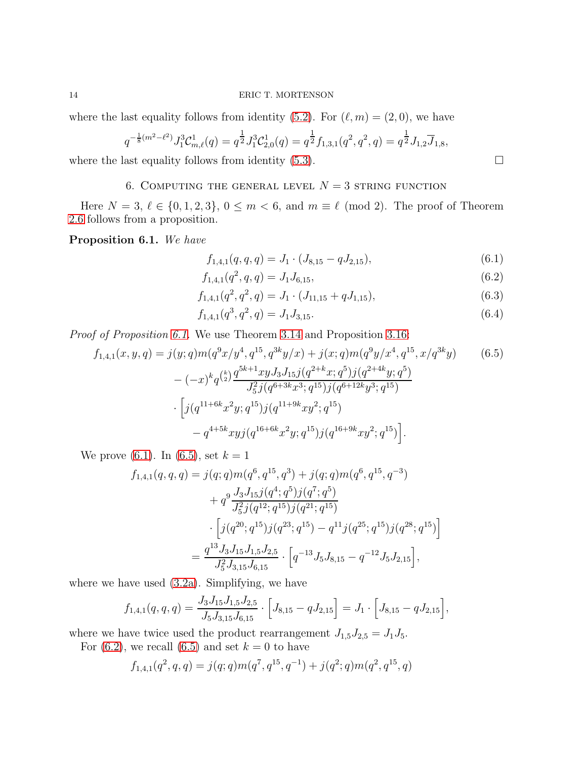where the last equality follows from identity [\(5.2\)](#page-11-7). For  $(\ell, m) = (2, 0)$ , we have

$$
q^{-\frac{1}{8}(m^2-\ell^2)} J_1^3 \mathcal{C}_{m,\ell}^1(q) = q^{\frac{1}{2}} J_1^3 \mathcal{C}_{2,0}^1(q) = q^{\frac{1}{2}} f_{1,3,1}(q^2, q^2, q) = q^{\frac{1}{2}} J_{1,2} \overline{J}_{1,8},
$$

<span id="page-13-0"></span>where the last equality follows from identity [\(5.3\)](#page-11-8).  $\Box$ 

# 6. COMPUTING THE GENERAL LEVEL  $N = 3$  string function

Here  $N = 3, \ell \in \{0, 1, 2, 3\}, 0 \leq m < 6$ , and  $m \equiv \ell \pmod{2}$ . The proof of Theorem [2.6](#page-3-2) follows from a proposition.

<span id="page-13-1"></span>Proposition 6.1. We have

$$
f_{1,4,1}(q,q,q) = J_1 \cdot (J_{8,15} - q J_{2,15}), \tag{6.1}
$$

$$
f_{1,4,1}(q^2, q, q) = J_1 J_{6,15},\tag{6.2}
$$

$$
f_{1,4,1}(q^2, q^2, q) = J_1 \cdot (J_{11,15} + q J_{1,15}), \tag{6.3}
$$

$$
f_{1,4,1}(q^3, q^2, q) = J_1 J_{3,15}.
$$
\n
$$
(6.4)
$$

Proof of Proposition [6.1.](#page-13-1) We use Theorem [3.14](#page-9-1) and Proposition [3.16:](#page-10-0)

$$
f_{1,4,1}(x,y,q) = j(y;q)m(q^{9}x/y^{4}, q^{15}, q^{3k}y/x) + j(x;q)m(q^{9}y/x^{4}, q^{15}, x/q^{3k}y)
$$
(6.5)  

$$
-(-x)^{k}q^{\binom{k}{2}}\frac{q^{5k+1}xyJ_{3}J_{15}j(q^{2+k}x;q^{5})j(q^{2+4k}y;q^{5})}{J_{5}^{2}j(q^{6+3k}x^{3};q^{15})j(q^{6+12k}y^{3};q^{15})}
$$

$$
\cdot [j(q^{11+6k}x^{2}y;q^{15})j(q^{11+9k}xy^{2};q^{15}) - q^{4+5k}xyj(q^{16+6k}x^{2}y;q^{15})j(q^{16+9k}xy^{2};q^{15})].
$$

We prove [\(6.1\)](#page-13-2). In [\(6.5\)](#page-13-3), set  $k = 1$ 

$$
f_{1,4,1}(q,q,q) = j(q;q)m(q^6, q^{15}, q^3) + j(q;q)m(q^6, q^{15}, q^{-3})
$$
  
+ 
$$
q^9 \frac{J_3 J_{15} j(q^4; q^5) j(q^7; q^5)}{J_5^2 j(q^{12}; q^{15}) j(q^{21}; q^{15})}
$$
  

$$
\cdot \left[ j(q^{20}; q^{15}) j(q^{23}; q^{15}) - q^{11} j(q^{25}; q^{15}) j(q^{28}; q^{15}) \right]
$$
  
= 
$$
\frac{q^{13} J_3 J_{15} J_{1,5} J_{2,5}}{J_5^2 J_{3,15} J_{6,15}} \cdot \left[ q^{-13} J_5 J_{8,15} - q^{-12} J_5 J_{2,15} \right],
$$

where we have used [\(3.2a\)](#page-5-3). Simplifying, we have

$$
f_{1,4,1}(q,q,q) = \frac{J_3 J_{15} J_{1,5} J_{2,5}}{J_5 J_{3,15} J_{6,15}} \cdot \left[ J_{8,15} - q J_{2,15} \right] = J_1 \cdot \left[ J_{8,15} - q J_{2,15} \right],
$$

where we have twice used the product rearrangement  $J_{1,5}J_{2,5} = J_1J_5$ .

For  $(6.2)$ , we recall  $(6.5)$  and set  $k = 0$  to have

$$
f_{1,4,1}(q^2,q,q) = j(q;q)m(q^7,q^{15},q^{-1}) + j(q^2;q)m(q^2,q^{15},q)
$$

<span id="page-13-6"></span><span id="page-13-5"></span><span id="page-13-4"></span><span id="page-13-3"></span><span id="page-13-2"></span>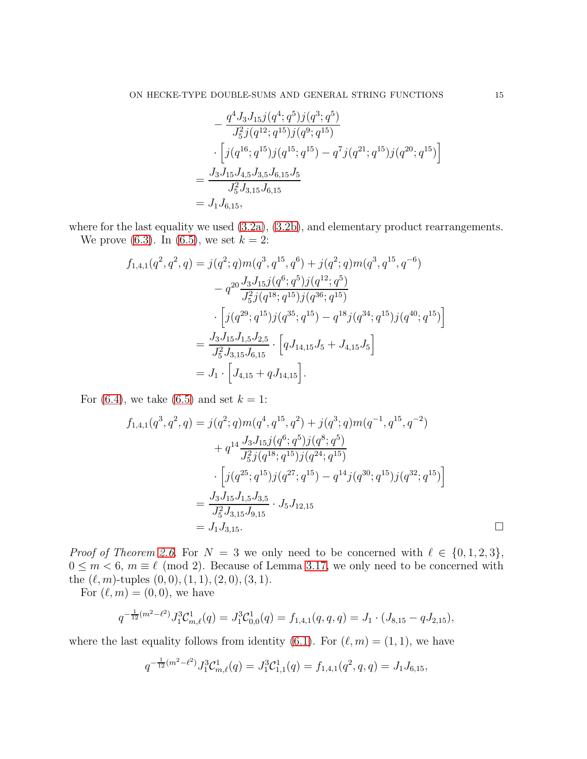$$
-\frac{q^4 J_3 J_{15} j(q^4; q^5) j(q^3; q^5)}{J_5^2 j(q^{12}; q^{15}) j(q^9; q^{15})}
$$
  

$$
\cdot \left[ j(q^{16}; q^{15}) j(q^{15}; q^{15}) - q^7 j(q^{21}; q^{15}) j(q^{20}; q^{15}) \right]
$$
  

$$
=\frac{J_3 J_{15} J_{4,5} J_{3,5} J_{6,15} J_5}{J_5^2 J_{3,15} J_{6,15}}
$$
  

$$
= J_1 J_{6,15},
$$

where for the last equality we used  $(3.2a)$ ,  $(3.2b)$ , and elementary product rearrangements. We prove [\(6.3\)](#page-13-5). In [\(6.5\)](#page-13-3), we set  $k = 2$ :

$$
f_{1,4,1}(q^2, q^2, q) = j(q^2; q)m(q^3, q^{15}, q^6) + j(q^2; q)m(q^3, q^{15}, q^{-6})
$$
  

$$
- q^{20} \frac{J_3 J_{15} j(q^6; q^5) j(q^{12}; q^5)}{J_5^2 j(q^{18}; q^{15}) j(q^{36}; q^{15})}
$$
  

$$
\cdot [j(q^{29}; q^{15}) j(q^{35}; q^{15}) - q^{18} j(q^{34}; q^{15}) j(q^{40}; q^{15})]
$$
  

$$
= \frac{J_3 J_{15} J_{1,5} J_{2,5}}{J_5^2 J_{3,15} J_{6,15}} \cdot [q J_{14,15} J_5 + J_{4,15} J_5]
$$
  

$$
= J_1 \cdot [J_{4,15} + q J_{14,15}].
$$

For [\(6.4\)](#page-13-6), we take [\(6.5\)](#page-13-3) and set  $k = 1$ :

$$
f_{1,4,1}(q^3, q^2, q) = j(q^2; q)m(q^4, q^{15}, q^2) + j(q^3; q)m(q^{-1}, q^{15}, q^{-2})
$$
  
+  $q^{14} \frac{J_3 J_{15} j(q^6; q^5) j(q^8; q^5)}{J_5^2 j(q^{18}; q^{15}) j(q^{24}; q^{15})}$   
- 
$$
\left[j(q^{25}; q^{15}) j(q^{27}; q^{15}) - q^{14} j(q^{30}; q^{15}) j(q^{32}; q^{15})\right]
$$
  
= 
$$
\frac{J_3 J_{15} J_{1,5} J_{3,5}}{J_5^2 J_{3,15} J_{9,15}}
$$
  
= 
$$
J_1 J_{3,15}.
$$

*Proof of Theorem [2.6.](#page-3-2)* For  $N = 3$  we only need to be concerned with  $\ell \in \{0, 1, 2, 3\},\$  $0 \leq m < 6$ ,  $m \equiv \ell \pmod{2}$ . Because of Lemma [3.17,](#page-11-3) we only need to be concerned with the  $(\ell, m)$ -tuples  $(0, 0), (1, 1), (2, 0), (3, 1).$ 

For  $(\ell, m) = (0, 0)$ , we have

$$
q^{-\frac{1}{12}(m^2-\ell^2)} J_1^3 \mathcal{C}^1_{m,\ell}(q) = J_1^3 \mathcal{C}^1_{0,0}(q) = f_{1,4,1}(q,q,q) = J_1 \cdot (J_{8,15} - q J_{2,15}),
$$

where the last equality follows from identity [\(6.1\)](#page-13-2). For  $(\ell, m) = (1, 1)$ , we have

$$
q^{-\frac{1}{12}(m^2-\ell^2)} J_1^3 \mathcal{C}^1_{m,\ell}(q) = J_1^3 \mathcal{C}^1_{1,1}(q) = f_{1,4,1}(q^2,q,q) = J_1 J_{6,15},
$$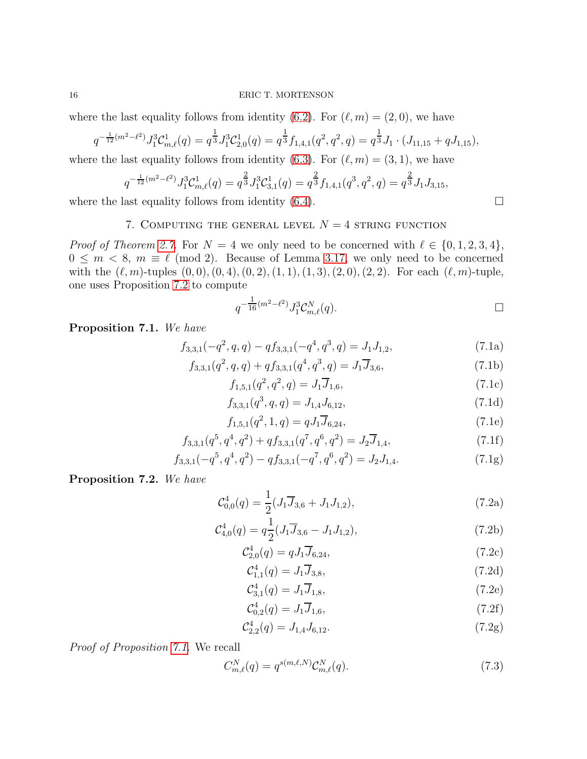where the last equality follows from identity [\(6.2\)](#page-13-4). For  $(\ell, m) = (2, 0)$ , we have

$$
q^{-\frac{1}{12}(m^2-\ell^2)} J_1^3 \mathcal{C}_{m,\ell}^1(q) = q^{\frac{1}{3}} J_1^3 \mathcal{C}_{2,0}^1(q) = q^{\frac{1}{3}} f_{1,4,1}(q^2, q^2, q) = q^{\frac{1}{3}} J_1 \cdot (J_{11,15} + q J_{1,15}),
$$

where the last equality follows from identity [\(6.3\)](#page-13-5). For  $(\ell, m) = (3, 1)$ , we have

$$
q^{-\frac{1}{12}(m^2-\ell^2)} J_1^3 \mathcal{C}^1_{m,\ell}(q) = q^{\frac{2}{3}} J_1^3 \mathcal{C}^1_{3,1}(q) = q^{\frac{2}{3}} f_{1,4,1}(q^3, q^2, q) = q^{\frac{2}{3}} J_1 J_{3,15},
$$

<span id="page-15-0"></span>where the last equality follows from identity  $(6.4)$ .

### 7. COMPUTING THE GENERAL LEVEL  $N = 4$  string function

*Proof of Theorem [2.7.](#page-4-0)* For  $N = 4$  we only need to be concerned with  $\ell \in \{0, 1, 2, 3, 4\},\$  $0 \leq m < 8$ ,  $m \equiv \ell \pmod{2}$ . Because of Lemma [3.17,](#page-11-3) we only need to be concerned with the  $(\ell, m)$ -tuples  $(0, 0), (0, 4), (0, 2), (1, 1), (1, 3), (2, 0), (2, 2)$ . For each  $(\ell, m)$ -tuple, one uses Proposition [7.2](#page-15-1) to compute

$$
q^{-\frac{1}{16}(m^2-\ell^2)} J_1^3 \mathcal{C}_{m,\ell}^N(q). \qquad \qquad \Box
$$

<span id="page-15-2"></span>Proposition 7.1. We have

$$
f_{3,3,1}(-q^2, q, q) - q f_{3,3,1}(-q^4, q^3, q) = J_1 J_{1,2},
$$
\n(7.1a)

$$
f_{3,3,1}(q^2, q, q) + q f_{3,3,1}(q^4, q^3, q) = J_1 \overline{J}_{3,6},
$$
\n(7.1b)

$$
f_{1,5,1}(q^2, q^2, q) = J_1 \overline{J}_{1,6},\tag{7.1c}
$$

$$
f_{3,3,1}(q^3, q, q) = J_{1,4} J_{6,12},\tag{7.1d}
$$

<span id="page-15-13"></span>
$$
f_{1,5,1}(q^2, 1, q) = qJ_1\overline{J}_{6,24},\tag{7.1e}
$$

$$
f_{3,3,1}(q^5, q^4, q^2) + q f_{3,3,1}(q^7, q^6, q^2) = J_2 \overline{J}_{1,4},
$$
\n(7.1f)

$$
f_{3,3,1}(-q^5, q^4, q^2) - q f_{3,3,1}(-q^7, q^6, q^2) = J_2 J_{1,4}.
$$
 (7.1g)

<span id="page-15-1"></span>Proposition 7.2. We have

$$
\mathcal{C}_{0,0}^4(q) = \frac{1}{2} (J_1 \overline{J}_{3,6} + J_1 J_{1,2}), \tag{7.2a}
$$

$$
\mathcal{C}_{4,0}^4(q) = q \frac{1}{2} (J_1 \overline{J}_{3,6} - J_1 J_{1,2}), \qquad (7.2b)
$$

<span id="page-15-3"></span>
$$
C_{2,0}^4(q) = qJ_1\overline{J}_{6,24},\tag{7.2c}
$$

<span id="page-15-11"></span><span id="page-15-10"></span><span id="page-15-8"></span><span id="page-15-4"></span>
$$
C_{1,1}^4(q) = J_1 \overline{J}_{3,8},\tag{7.2d}
$$

$$
C_{3,1}^4(q) = J_1 \overline{J}_{1,8},\tag{7.2e}
$$

<span id="page-15-16"></span><span id="page-15-14"></span>
$$
C_{0,2}^4(q) = J_1 \overline{J}_{1,6},\tag{7.2f}
$$

$$
\mathcal{C}_{2,2}^4(q) = J_{1,4} J_{6,12}.\tag{7.2g}
$$

Proof of Proposition [7.1.](#page-15-2) We recall

<span id="page-15-7"></span>
$$
C_{m,\ell}^N(q) = q^{s(m,\ell,N)} \mathcal{C}_{m,\ell}^N(q). \tag{7.3}
$$

<span id="page-15-17"></span><span id="page-15-15"></span><span id="page-15-12"></span><span id="page-15-9"></span><span id="page-15-6"></span><span id="page-15-5"></span>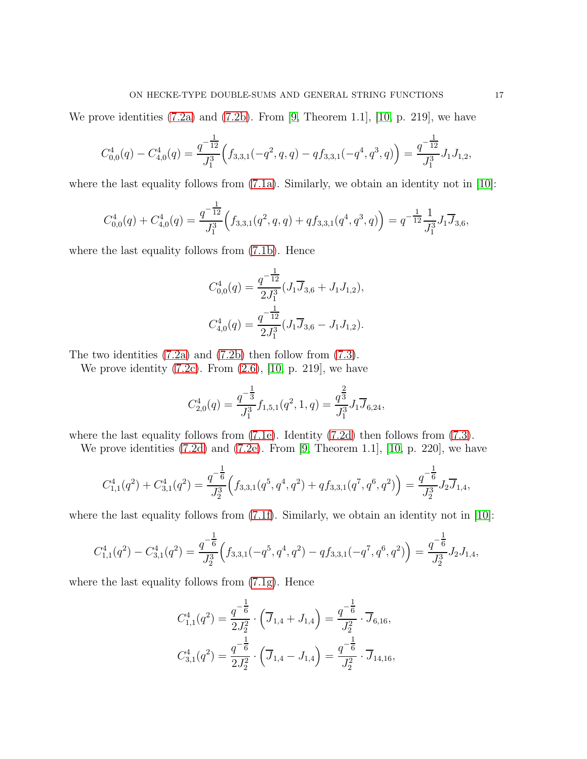We prove identities  $(7.2a)$  and  $(7.2b)$ . From [\[9,](#page-26-5) Theorem 1.1], [\[10,](#page-26-1) p. 219], we have

$$
C_{0,0}^4(q) - C_{4,0}^4(q) = \frac{q^{-\frac{1}{12}}}{J_1^3} \Big( f_{3,3,1}(-q^2, q, q) - q f_{3,3,1}(-q^4, q^3, q) \Big) = \frac{q^{-\frac{1}{12}}}{J_1^3} J_1 J_{1,2},
$$

where the last equality follows from  $(7.1a)$ . Similarly, we obtain an identity not in [\[10\]](#page-26-1):

$$
C_{0,0}^4(q) + C_{4,0}^4(q) = \frac{q^{-\frac{1}{12}}}{J_1^3} \Big( f_{3,3,1}(q^2, q, q) + q f_{3,3,1}(q^4, q^3, q) \Big) = q^{-\frac{1}{12}} \frac{1}{J_1^3} J_1 \overline{J}_{3,6},
$$

where the last equality follows from  $(7.1b)$ . Hence

$$
C_{0,0}^4(q) = \frac{q^{-\frac{1}{12}}}{2J_1^3} (J_1\overline{J}_{3,6} + J_1J_{1,2}),
$$
  

$$
C_{4,0}^4(q) = \frac{q^{-\frac{1}{12}}}{2J_1^3} (J_1\overline{J}_{3,6} - J_1J_{1,2}).
$$

The two identities [\(7.2a\)](#page-15-3) and [\(7.2b\)](#page-15-4) then follow from [\(7.3\)](#page-15-7).

We prove identity  $(7.2c)$ . From  $(2.6)$ ,  $[10, p. 219]$ , we have

$$
C_{2,0}^4(q)=\frac{q^{-\tfrac{1}{3}}}{J_1^3}f_{1,5,1}(q^2,1,q)=\frac{q^{\tfrac{2}{3}}}{J_1^3}J_1\overline{J}_{6,24},
$$

where the last equality follows from [\(7.1e\)](#page-15-9). Identity [\(7.2d\)](#page-15-10) then follows from [\(7.3\)](#page-15-7).

We prove identities [\(7.2d\)](#page-15-10) and [\(7.2e\)](#page-15-11). From [\[9,](#page-26-5) Theorem 1.1], [\[10,](#page-26-1) p. 220], we have

$$
C_{1,1}^4(q^2)+C_{3,1}^4(q^2)=\frac{q^{-\tfrac{1}{6}}}{J_2^3}\Big(f_{3,3,1}(q^5,q^4,q^2)+qf_{3,3,1}(q^7,q^6,q^2)\Big)=\frac{q^{-\tfrac{1}{6}}}{J_2^3}J_2\overline{J}_{1,4},
$$

where the last equality follows from  $(7.1f)$ . Similarly, we obtain an identity not in [\[10\]](#page-26-1):

$$
C_{1,1}^4(q^2) - C_{3,1}^4(q^2) = \frac{q^{-\frac{1}{6}}}{J_2^3} \Big( f_{3,3,1}(-q^5,q^4,q^2) - q f_{3,3,1}(-q^7,q^6,q^2) \Big) = \frac{q^{-\frac{1}{6}}}{J_2^3} J_2 J_{1,4},
$$

where the last equality follows from  $(7.1g)$ . Hence

$$
C_{1,1}^4(q^2) = \frac{q^{-\frac{1}{6}}}{2J_2^2} \cdot (\overline{J}_{1,4} + J_{1,4}) = \frac{q^{-\frac{1}{6}}}{J_2^2} \cdot \overline{J}_{6,16},
$$
  

$$
C_{3,1}^4(q^2) = \frac{q^{-\frac{1}{6}}}{2J_2^2} \cdot (\overline{J}_{1,4} - J_{1,4}) = \frac{q^{-\frac{1}{6}}}{J_2^2} \cdot \overline{J}_{14,16},
$$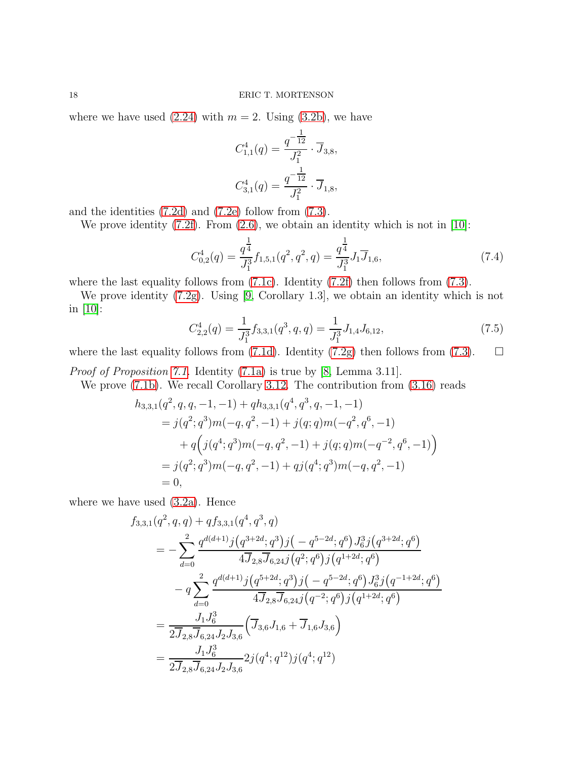where we have used  $(2.24)$  with  $m = 2$ . Using  $(3.2b)$ , we have

$$
C_{1,1}^4(q) = \frac{q^{-\frac{1}{12}}}{J_1^2} \cdot \overline{J}_{3,8},
$$
  

$$
C_{3,1}^4(q) = \frac{q^{-\frac{1}{12}}}{J_1^2} \cdot \overline{J}_{1,8},
$$

and the identities [\(7.2d\)](#page-15-10) and [\(7.2e\)](#page-15-11) follow from [\(7.3\)](#page-15-7).

We prove identity  $(7.2f)$ . From  $(2.6)$ , we obtain an identity which is not in [\[10\]](#page-26-1):

$$
C_{0,2}^4(q) = \frac{q^{\frac{1}{4}}}{J_1^3} f_{1,5,1}(q^2, q^2, q) = \frac{q^{\frac{1}{4}}}{J_1^3} J_1 \overline{J}_{1,6},\tag{7.4}
$$

where the last equality follows from  $(7.1c)$ . Identity  $(7.2f)$  then follows from  $(7.3)$ .

We prove identity [\(7.2g\)](#page-15-16). Using [\[9,](#page-26-5) Corollary 1.3], we obtain an identity which is not in [\[10\]](#page-26-1):

$$
C_{2,2}^4(q) = \frac{1}{J_1^3} f_{3,3,1}(q^3, q, q) = \frac{1}{J_1^3} J_{1,4} J_{6,12},\tag{7.5}
$$

where the last equality follows from [\(7.1d\)](#page-15-17). Identity [\(7.2g\)](#page-15-16) then follows from [\(7.3\)](#page-15-7).  $\Box$ 

Proof of Proposition [7.1.](#page-15-2) Identity [\(7.1a\)](#page-15-5) is true by [\[8,](#page-26-11) Lemma 3.11].

We prove [\(7.1b\)](#page-15-6). We recall Corollary [3.12.](#page-9-2) The contribution from [\(3.16\)](#page-9-3) reads

$$
h_{3,3,1}(q^2, q, q, -1, -1) + q h_{3,3,1}(q^4, q^3, q, -1, -1)
$$
  
=  $j(q^2; q^3)m(-q, q^2, -1) + j(q; q)m(-q^2, q^6, -1)$   
+  $q(j(q^4; q^3)m(-q, q^2, -1) + j(q; q)m(-q^{-2}, q^6, -1))$   
=  $j(q^2; q^3)m(-q, q^2, -1) + qj(q^4; q^3)m(-q, q^2, -1)$   
= 0,

where we have used [\(3.2a\)](#page-5-3). Hence

$$
f_{3,3,1}(q^2, q, q) + q f_{3,3,1}(q^4, q^3, q)
$$
  
= 
$$
-\sum_{d=0}^2 \frac{q^{d(d+1)}j(q^{3+2d};q^3)j(-q^{5-2d};q^6)J_6^3j(q^{3+2d};q^6)}{4\overline{J}_{2,8}\overline{J}_{6,24}j(q^2;q^6)j(q^{1+2d};q^6)}
$$

$$
-q \sum_{d=0}^2 \frac{q^{d(d+1)}j(q^{5+2d};q^3)j(-q^{5-2d};q^6)J_6^3j(q^{-1+2d};q^6)}{4\overline{J}_{2,8}\overline{J}_{6,24}j(q^{-2};q^6)j(q^{1+2d};q^6)}
$$

$$
= \frac{J_1J_6^3}{2\overline{J}_{2,8}\overline{J}_{6,24}J_2J_{3,6}} \left( \overline{J}_{3,6}J_{1,6} + \overline{J}_{1,6}J_{3,6} \right)
$$

$$
= \frac{J_1J_6^3}{2\overline{J}_{2,8}\overline{J}_{6,24}J_2J_{3,6}} 2j(q^4;q^{12})j(q^4;q^{12})
$$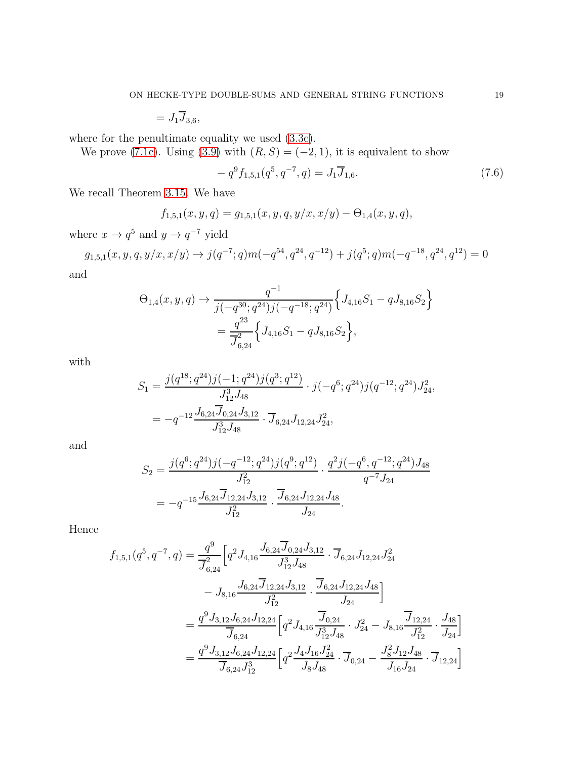$= J_1 \overline{J}_{3,6},$ 

where for the penultimate equality we used [\(3.3c\)](#page-6-2).

We prove [\(7.1c\)](#page-15-15). Using [\(3.9\)](#page-7-0) with  $(R, S) = (-2, 1)$ , it is equivalent to show

$$
-q^{9}f_{1,5,1}(q^{5}, q^{-7}, q) = J_1 \overline{J}_{1,6}.
$$
\n(7.6)

We recall Theorem [3.15.](#page-10-1) We have

$$
f_{1,5,1}(x,y,q) = g_{1,5,1}(x,y,q,y/x,x/y) - \Theta_{1,4}(x,y,q),
$$

where  $x \to q^5$  and  $y \to q^{-7}$  yield

$$
g_{1,5,1}(x,y,q,y/x,x/y) \to j(q^{-7};q)m(-q^{54},q^{24},q^{-12}) + j(q^5;q)m(-q^{-18},q^{24},q^{12}) = 0
$$
d

and

$$
\Theta_{1,4}(x,y,q) \rightarrow \frac{q^{-1}}{j(-q^{30};q^{24})j(-q^{-18};q^{24})} \Big\{ J_{4,16}S_1 - qJ_{8,16}S_2 \Big\}
$$
  
= 
$$
\frac{q^{23}}{J_{6,24}^2} \Big\{ J_{4,16}S_1 - qJ_{8,16}S_2 \Big\},
$$

with

$$
S_1 = \frac{j(q^{18}; q^{24})j(-1; q^{24})j(q^3; q^{12})}{J_{12}^3 J_{48}} \cdot j(-q^6; q^{24})j(q^{-12}; q^{24})J_{24}^2,
$$
  
=  $-q^{-12} \frac{J_{6,24} \overline{J}_{0,24} J_{3,12}}{J_{12}^3 J_{48}} \cdot \overline{J}_{6,24} J_{12,24} J_{24}^2,$ 

and

$$
S_2 = \frac{j(q^6; q^{24})j(-q^{-12}; q^{24})j(q^9; q^{12})}{J_{12}^2} \cdot \frac{q^2j(-q^6, q^{-12}; q^{24})J_{48}}{q^{-7}J_{24}}
$$
  
=  $-q^{-15} \frac{J_{6,24} \overline{J}_{12,24} J_{3,12}}{J_{12}^2} \cdot \frac{\overline{J}_{6,24} J_{12,24} J_{48}}{J_{24}}$ 

Hence

$$
f_{1,5,1}(q^5, q^{-7}, q) = \frac{q^9}{\overline{J}_{6,24}^2} \Big[ q^2 J_{4,16} \frac{J_{6,24} \overline{J}_{0,24} J_{3,12}}{J_{12}^3 J_{48}} \cdot \overline{J}_{6,24} J_{12,24} J_{24}^2 - J_{8,16} \frac{J_{6,24} \overline{J}_{12,24} J_{3,12}}{J_{12}^2} \cdot \frac{\overline{J}_{6,24} J_{12,24} J_{48}}{J_{24}} \Big]
$$
  
=  $\frac{q^9 J_{3,12} J_{6,24} J_{12,24}}{\overline{J}_{6,24}} \Big[ q^2 J_{4,16} \frac{\overline{J}_{0,24}}{J_{12}^3 J_{48}} \cdot J_{24}^2 - J_{8,16} \frac{\overline{J}_{12,24}}{J_{12}^2} \cdot \frac{J_{48}}{J_{24}} \Big] = \frac{q^9 J_{3,12} J_{6,24} J_{12,24}}{\overline{J}_{6,24} J_{12}^3} \Big[ q^2 \frac{J_4 J_{16} J_{24}^2}{J_{8} J_{48}} \cdot \overline{J}_{0,24} - \frac{J_8^2 J_{12} J_{48}}{J_{16} J_{24}} \cdot \overline{J}_{12,24} \Big]$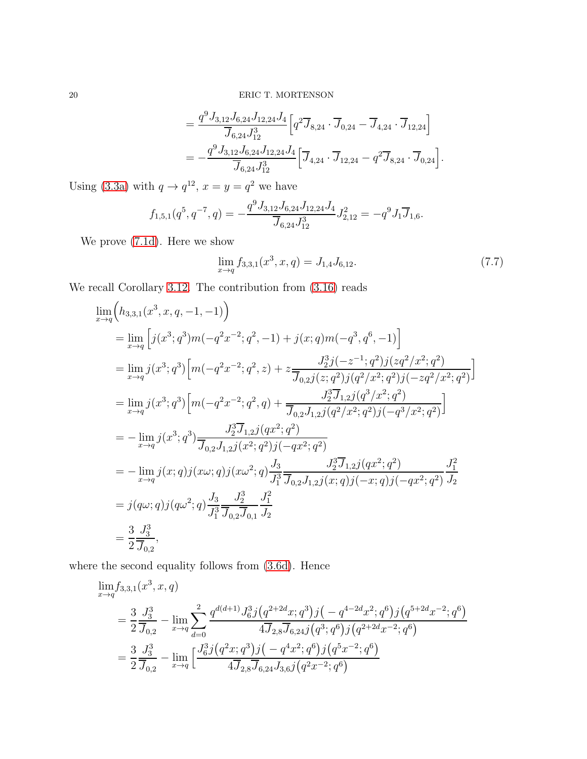$$
= \frac{q^{9} J_{3,12} J_{6,24} J_{12,24} J_4}{\overline{J}_{6,24} J_{12}^{3}} \Big[ q^{2} \overline{J}_{8,24} \cdot \overline{J}_{0,24} - \overline{J}_{4,24} \cdot \overline{J}_{12,24} \Big] = -\frac{q^{9} J_{3,12} J_{6,24} J_{12,24} J_4}{\overline{J}_{6,24} J_{12}^{3}} \Big[ \overline{J}_{4,24} \cdot \overline{J}_{12,24} - q^{2} \overline{J}_{8,24} \cdot \overline{J}_{0,24} \Big].
$$

Using [\(3.3a\)](#page-6-3) with  $q \to q^{12}$ ,  $x = y = q^2$  we have

$$
f_{1,5,1}(q^5, q^{-7}, q) = -\frac{q^9 J_{3,12} J_{6,24} J_{12,24} J_4}{\overline{J}_{6,24} J_{12}^3} J_{2,12}^2 = -q^9 J_1 \overline{J}_{1,6}.
$$

We prove [\(7.1d\)](#page-15-17). Here we show

$$
\lim_{x \to q} f_{3,3,1}(x^3, x, q) = J_{1,4} J_{6,12}.
$$
\n(7.7)

We recall Corollary [3.12.](#page-9-2) The contribution from [\(3.16\)](#page-9-3) reads

$$
\lim_{x \to q} (h_{3,3,1}(x^3, x, q, -1, -1))
$$
\n
$$
= \lim_{x \to q} \left[ j(x^3; q^3)m(-q^2x^{-2}; q^2, -1) + j(x; q)m(-q^3, q^6, -1) \right]
$$
\n
$$
= \lim_{x \to q} j(x^3; q^3) \left[ m(-q^2x^{-2}; q^2, z) + z \frac{J_2^3 j(-z^{-1}; q^2) j(zq^2/x^2; q^2)}{\overline{J}_{0,2} j(z; q^2) j(q^2/x^2; q^2) j(-zq^2/x^2; q^2)} \right]
$$
\n
$$
= \lim_{x \to q} j(x^3; q^3) \left[ m(-q^2x^{-2}; q^2, q) + \frac{J_2^3 \overline{J}_{1,2} j(q^3/x^2; q^2) j(-zq^2/x^2; q^2)}{\overline{J}_{0,2} J_{1,2} j(q^2/x^2; q^2) j(-q^3/x^2; q^2)} \right]
$$
\n
$$
= - \lim_{x \to q} j(x^3; q^3) \frac{J_2^3 \overline{J}_{1,2} j(qx^2; q^2)}{\overline{J}_{0,2} J_{1,2} j(x^2; q^2) j(-qx^2; q^2)}
$$
\n
$$
= - \lim_{x \to q} j(x; q) j(x\omega; q) j(x\omega^2; q) \frac{J_3}{J_1^3} \frac{J_2^3 \overline{J}_{1,2} j(qx^2; q^2)}{\overline{J}_{0,2} J_{1,2} j(x; q) j(-x; q) j(-qx^2; q^2)} \frac{J_1^2}{J_2}
$$
\n
$$
= j(q\omega; q) j(q\omega^2; q) \frac{J_3}{J_1^3} \frac{J_2^3}{\overline{J}_{0,2} \overline{J}_{0,1}} \frac{J_1^2}{J_2}
$$
\n
$$
= \frac{3}{2} \frac{J_3^3}{\overline{J}_{0,2}},
$$

where the second equality follows from [\(3.6d\)](#page-7-1). Hence

$$
\lim_{x \to q} f_{3,3,1}(x^3, x, q)
$$
\n
$$
= \frac{3}{2} \frac{J_3^3}{\overline{J}_{0,2}} - \lim_{x \to q} \sum_{d=0}^2 \frac{q^{d(d+1)} J_6^3 j (q^{2+2d} x; q^3) j (-q^{4-2d} x^2; q^6) j (q^{5+2d} x^{-2}; q^6)}{4 \overline{J}_{2,8} \overline{J}_{6,24} j (q^3; q^6) j (q^{2+2d} x^{-2}; q^6)}
$$
\n
$$
= \frac{3}{2} \frac{J_3^3}{\overline{J}_{0,2}} - \lim_{x \to q} \left[ \frac{J_6^3 j (q^2 x; q^3) j (-q^4 x^2; q^6) j (q^5 x^{-2}; q^6)}{4 \overline{J}_{2,8} \overline{J}_{6,24} J_{3,6} j (q^2 x^{-2}; q^6)} \right]
$$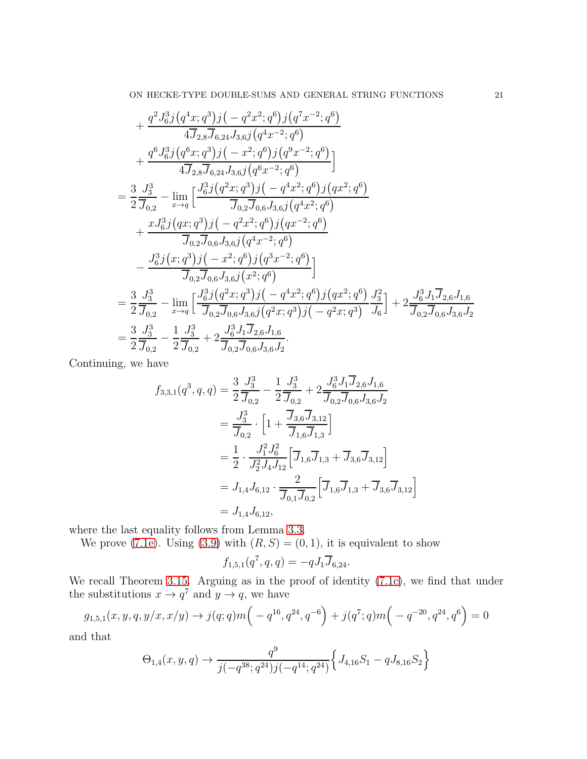$$
+\frac{q^{2}J_{6}^{3}j(q^{4}x;q^{3})j(-q^{2}x^{2};q^{6})j(q^{7}x^{-2};q^{6})}{4\overline{J}_{2,8}\overline{J}_{6,24}J_{3,6}j(q^{4}x^{-2};q^{6})} +\frac{q^{6}J_{6}^{3}j(q^{6}x;q^{3})j(-x^{2};q^{6})j(q^{9}x^{-2};q^{6})}{4\overline{J}_{2,8}\overline{J}_{6,24}J_{3,6}j(q^{6}x^{-2};q^{6})}\n=\frac{3}{2}\frac{J_{3}^{3}}{J_{0,2}}-\lim_{x\to q}\left[\frac{J_{6}^{3}j(q^{2}x;q^{3})j(-q^{4}x^{2};q^{6})j(qx^{2};q^{6})}{\overline{J}_{0,2}\overline{J}_{0,6}J_{3,6}j(q^{4}x^{2};q^{6})}\n+\frac{xJ_{6}^{3}j(qx;q^{3})j(-q^{2}x^{2};q^{6})j(qx^{-2};q^{6})}{\overline{J}_{0,2}\overline{J}_{0,6}J_{3,6}j(q^{4}x^{-2};q^{6})}\n-\frac{J_{6}^{3}j(x;q^{3})j(-x^{2};q^{6})j(q^{3}x^{-2};q^{6})}{\overline{J}_{0,2}\overline{J}_{0,6}J_{3,6}j(x^{2};q^{6})}\n=\frac{3}{2}\frac{J_{3}^{3}}{\overline{J}_{0,2}}-\lim_{x\to q}\left[\frac{J_{6}^{3}j(q^{2}x;q^{3})j(-q^{4}x^{2};q^{6})j(qx^{2};q^{6})}{\overline{J}_{0,2}\overline{J}_{0,6}J_{3,6}j(q^{2}x;q^{3})j(-q^{2}x;q^{3})}\frac{J_{3}^{2}}{J_{6}}\right]+2\frac{J_{6}^{3}J_{1}\overline{J}_{2,6}J_{1,6}}{\overline{J}_{0,2}\overline{J}_{0,6}J_{3,6}j}
$$

$$
=\frac{3}{2}\frac{J_{3}^{3}}{\overline{J}_{0,2}}-\frac{1}{2}\frac{J_{3}^{3}}{\overline{J}_{0,2}}+2\frac{J_{6}^{3}J_{1}\overline{J}_{2,6}J_{1,6
$$

Continuing, we have

$$
f_{3,3,1}(q^3, q, q) = \frac{3}{2} \frac{J_3^3}{\overline{J}_{0,2}} - \frac{1}{2} \frac{J_3^3}{\overline{J}_{0,2}} + 2 \frac{J_6^3 J_1 \overline{J}_{2,6} J_{1,6}}{\overline{J}_{0,2} \overline{J}_{0,6} J_{3,6} J_2}
$$
  
\n
$$
= \frac{J_3^3}{\overline{J}_{0,2}} \cdot \left[ 1 + \frac{\overline{J}_{3,6} \overline{J}_{3,12}}{\overline{J}_{1,6} \overline{J}_{1,3}} \right]
$$
  
\n
$$
= \frac{1}{2} \cdot \frac{J_1^2 J_6^2}{J_2^2 J_4 J_{12}} \left[ \overline{J}_{1,6} \overline{J}_{1,3} + \overline{J}_{3,6} \overline{J}_{3,12} \right]
$$
  
\n
$$
= J_{1,4} J_{6,12} \cdot \frac{2}{\overline{J}_{0,1} \overline{J}_{0,2}} \left[ \overline{J}_{1,6} \overline{J}_{1,3} + \overline{J}_{3,6} \overline{J}_{3,12} \right]
$$
  
\n
$$
= J_{1,4} J_{6,12},
$$

where the last equality follows from Lemma [3.3.](#page-6-4)

We prove [\(7.1e\)](#page-15-9). Using [\(3.9\)](#page-7-0) with  $(R, S) = (0, 1)$ , it is equivalent to show

$$
f_{1,5,1}(q^7, q, q) = -q J_1 \overline{J}_{6,24}.
$$

We recall Theorem [3.15.](#page-10-1) Arguing as in the proof of identity [\(7.1c\)](#page-15-15), we find that under the substitutions  $x \to q^7$  and  $y \to q$ , we have

$$
g_{1,5,1}(x,y,q,y/x,x/y) \to j(q;q)m\left(-q^{16},q^{24},q^{-6}\right) + j(q^7;q)m\left(-q^{-20},q^{24},q^{6}\right) = 0
$$

and that

$$
\Theta_{1,4}(x,y,q) \to \frac{q^9}{j(-q^{38};q^{24})j(-q^{14};q^{24})} \Big\{ J_{4,16}S_1 - qJ_{8,16}S_2 \Big\}
$$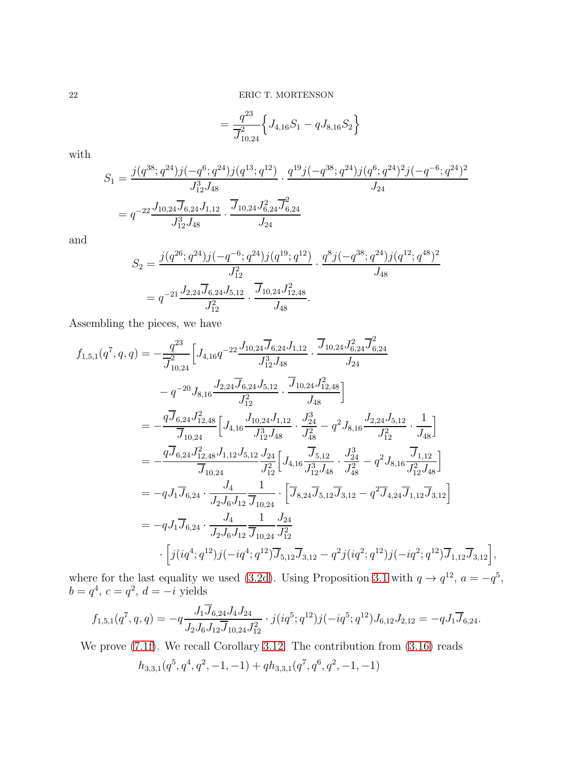$$
=\frac{q^{23}}{\overline{J}_{10,24}^2}\Big\{J_{4,16}S_1-qJ_{8,16}S_2\Big\}
$$

with

$$
S_1 = \frac{j(q^{38}; q^{24})j(-q^6; q^{24})j(q^{13}; q^{12})}{J_{12}^3 J_{48}} \cdot \frac{q^{19}j(-q^{38}; q^{24})j(q^6; q^{24})^2j(-q^{-6}; q^{24})^2}{J_{24}}
$$
  
=  $q^{-22} \frac{J_{10,24} \overline{J}_{6,24} J_{1,12}}{J_{12}^3 J_{48}} \cdot \frac{\overline{J}_{10,24} J_{6,24}^2 \overline{J}_{6,24}^2}{J_{24}}$ 

and

$$
S_2 = \frac{j(q^{26}; q^{24})j(-q^{-6}; q^{24})j(q^{19}; q^{12})}{J_{12}^2} \cdot \frac{q^8j(-q^{38}; q^{24})j(q^{12}; q^{48})^2}{J_{48}}
$$
  
=  $q^{-21} \frac{J_{2,24} \overline{J}_{6,24} J_{5,12}}{J_{12}^2} \cdot \frac{\overline{J}_{10,24} J_{12,48}^2}{J_{48}}.$ 

Assembling the pieces, we have

$$
f_{1,5,1}(q^7, q, q) = -\frac{q^{23}}{\overline{J}_{10,24}^2} \Big[ J_{4,16} q^{-22} \frac{J_{10,24} \overline{J}_{6,24} J_{1,12}}{J_{12}^3 J_{48}} \cdot \frac{\overline{J}_{10,24} J_{6,24}^2 \overline{J}_{6,24}^2}{J_{24}} - q^{-20} J_{8,16} \frac{J_{2,24} \overline{J}_{6,24} J_{5,12}}{J_{12}^2} \cdot \frac{\overline{J}_{10,24} J_{12,48}^2}{J_{48}} \Big] = -\frac{q \overline{J}_{6,24} J_{12,48}^2}{\overline{J}_{10,24}} \Big[ J_{4,16} \frac{J_{10,24} J_{1,12}^2}{J_{12}^3 J_{48}} \cdot \frac{J_{24}^3}{J_{48}^2} - q^2 J_{8,16} \frac{J_{2,24} J_{5,12}}{J_{12}^2} \cdot \frac{1}{J_{48}} \Big] = -\frac{q \overline{J}_{6,24} J_{12,48}^2 J_{1,12} J_{5,12}}{\overline{J}_{10,24}} \frac{J_{24}}{J_{12}^2} \Big[ J_{4,16} \frac{\overline{J}_{5,12}}{J_{12}^3 J_{48}} \cdot \frac{J_{24}^3}{J_{24}^2} - q^2 J_{8,16} \frac{\overline{J}_{1,12}}{J_{12}^2 J_{48}} \Big] = -q J_1 \overline{J}_{6,24} \cdot \frac{J_4}{J_2 J_6 J_{12}} \frac{1}{\overline{J}_{10,24}} \cdot \Big[ \overline{J}_{8,24} \overline{J}_{5,12} \overline{J}_{3,12} - q^2 \overline{J}_{4,24} \overline{J}_{1,12} \overline{J}_{3,12} \Big] = -q J_1 \overline{J}_{6,24} \cdot \frac{J_4}{J_2 J_6 J_{12}} \frac{1}{\overline{J}_{10,24}} \cdot \frac{J_{24}}{J_{
$$

where for the last equality we used [\(3.2d\)](#page-6-5). Using Proposition [3.1](#page-6-6) with  $q \to q^{12}$ ,  $a = -q^5$ ,  $b = q^4$ ,  $c = q^2$ ,  $d = -i$  yields

$$
f_{1,5,1}(q^7, q, q) = -q \frac{J_1 J_{6,24} J_4 J_{24}}{J_2 J_6 J_{12} \overline{J}_{10,24} J_{12}^2} \cdot j(iq^5; q^{12}) j(-iq^5; q^{12}) J_{6,12} J_{2,12} = -q J_1 \overline{J}_{6,24}.
$$

We prove [\(7.1f\)](#page-15-12). We recall Corollary [3.12.](#page-9-2) The contribution from [\(3.16\)](#page-9-3) reads

$$
h_{3,3,1}(q^5, q^4, q^2, -1, -1) + q h_{3,3,1}(q^7, q^6, q^2, -1, -1)
$$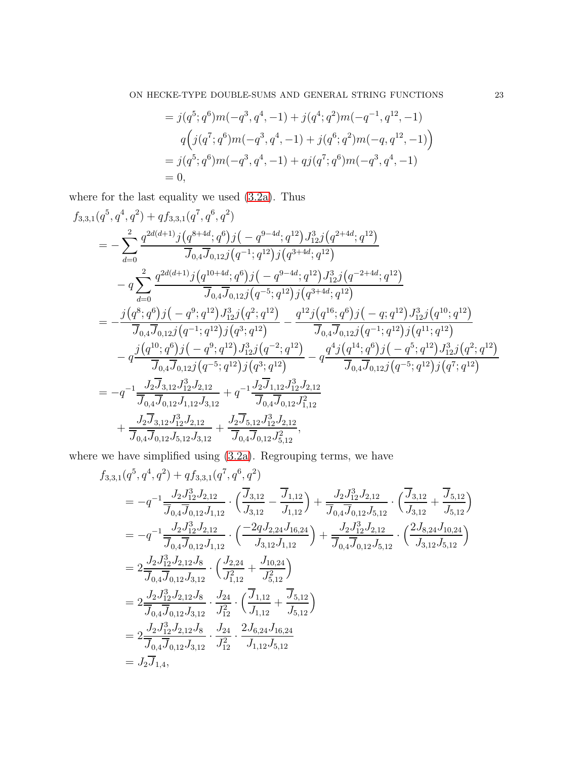$$
= j(q5; q6)m(-q3, q4, -1) + j(q4; q2)m(-q-1, q12, -1)q(j(q7; q6)m(-q3, q4, -1) + j(q6; q2)m(-q, q12, -1))= j(q5; q6)m(-q3, q4, -1) + qj(q7; q6)m(-q3, q4, -1)= 0,
$$

where for the last equality we used [\(3.2a\)](#page-5-3). Thus

$$
f_{3,3,1}(q^5, q^4, q^2) + q f_{3,3,1}(q^7, q^6, q^2)
$$
  
= 
$$
-\sum_{d=0}^2 \frac{q^{2d(d+1)}j(q^{8+4d}; q^6)j(-q^{9-4d}; q^{12})J_{12}^3j(q^{2+4d}; q^{12})}{\overline{J}_{0,4}\overline{J}_{0,12}j(q^{-1}; q^{12})j(q^{3+4d}; q^{12})}
$$
  

$$
-q \sum_{d=0}^2 \frac{q^{2d(d+1)}j(q^{10+4d}; q^6)j(-q^{9-4d}; q^1)J_{12}^3j(q^{-2+4d}; q^{12})}{\overline{J}_{0,4}\overline{J}_{0,12}j(q^{-5}; q^{12})j(q^{3+4d}; q^{12})}
$$
  
= 
$$
-\frac{j(q^8; q^6)j(-q^9; q^{12})J_{12}^3j(q^2; q^{12})}{\overline{J}_{0,4}\overline{J}_{0,12}j(q^{-1}; q^{12})j(q^3; q^{12})} - \frac{q^{12}j(q^{16}; q^6)j(-q; q^{12})J_{12}^3j(q^{10}; q^{12})}{\overline{J}_{0,4}\overline{J}_{0,12}j(q^{-1}; q^{12})j(q^{3}; q^{12})} - q \frac{q^4j(q^{14}; q^6)j(-q^5; q^{12})J_{12}^3j(q^2; q^{12})}{\overline{J}_{0,4}\overline{J}_{0,12}j(q^{-5}; q^{12})j(q^3; q^{12})} - q \frac{q^4j(q^{14}; q^6)j(-q^5; q^{12})J_{12}^3j(q^2; q^{12})}{\overline{J}_{0,4}\overline{J}_{0,12}j(q^{-5}; q^{12})j(q^7; q^{12})}
$$
  
= 
$$
-q^{-1} \frac{J_2\overline{J}_{3,12}J_{12}^3J_{2,12}}{\overline{J}_{0,4}\overline{J}_{0,12}J_{1,12}J_{3,12}} + q^{-1} \frac{J_2\overline{J}_{1,12}J_{12}^3J_{2,12}}{\overline
$$

where we have simplified using [\(3.2a\)](#page-5-3). Regrouping terms, we have

$$
f_{3,3,1}(q^5, q^4, q^2) + q f_{3,3,1}(q^7, q^6, q^2)
$$
  
\n
$$
= -q^{-1} \frac{J_2 J_{12}^3 J_{2,12}}{\overline{J}_{0,4} \overline{J}_{0,12} J_{1,12}} \cdot \left( \frac{\overline{J}_{3,12}}{\overline{J}_{3,12}} - \frac{\overline{J}_{1,12}}{\overline{J}_{1,12}} \right) + \frac{J_2 J_{12}^3 J_{2,12}}{\overline{J}_{0,4} \overline{J}_{0,12} J_{5,12}} \cdot \left( \frac{\overline{J}_{3,12}}{\overline{J}_{3,12}} + \frac{\overline{J}_{5,12}}{\overline{J}_{5,12}} \right)
$$
  
\n
$$
= -q^{-1} \frac{J_2 J_{12}^3 J_{2,12}}{\overline{J}_{0,4} \overline{J}_{0,12} J_{1,12}} \cdot \left( \frac{-2q J_{2,24} J_{16,24}}{\overline{J}_{3,12} J_{1,12}} \right) + \frac{J_2 J_{12}^3 J_{2,12}}{\overline{J}_{0,4} \overline{J}_{0,12} J_{5,12}} \cdot \left( \frac{2 J_{8,24} J_{10,24}}{\overline{J}_{3,12} J_{5,12}} \right)
$$
  
\n
$$
= 2 \frac{J_2 J_{12}^3 J_{2,12} J_8}{\overline{J}_{0,4} \overline{J}_{0,12} J_{3,12}} \cdot \left( \frac{J_{2,24}}{\overline{J}_{1,12}^2} + \frac{J_{10,24}}{\overline{J}_{5,12}^2} \right)
$$
  
\n
$$
= 2 \frac{J_2 J_{12}^3 J_{2,12} J_8}{\overline{J}_{0,4} \overline{J}_{0,12} J_{3,12}} \cdot \frac{J_{24}}{\overline{J}_{12}^2} \cdot \left( \frac{\overline{J}_{1,12}}{\overline{J}_{1,12}} + \frac{\overline{J}_{5,12}}{\overline{J}_{5,12}} \right)
$$
  
\n
$$
= 2 \
$$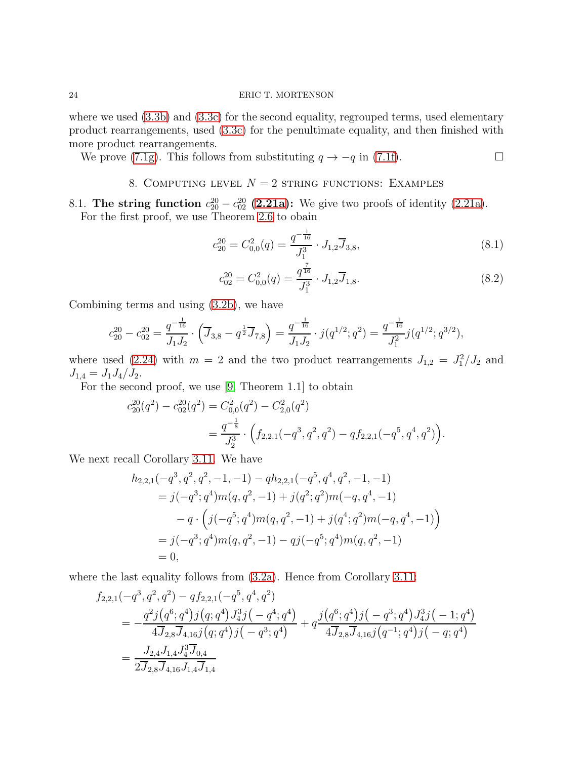where we used  $(3.3b)$  and  $(3.3c)$  for the second equality, regrouped terms, used elementary product rearrangements, used [\(3.3c\)](#page-6-2) for the penultimate equality, and then finished with more product rearrangements.

<span id="page-23-0"></span>We prove [\(7.1g\)](#page-15-13). This follows from substituting  $q \to -q$  in [\(7.1f\)](#page-15-12).

## 8. COMPUTING LEVEL  $N = 2$  string functions: EXAMPLES

8.1. The string function  $c_{20}^{20} - c_{02}^{20}$  [\(2.21a\)](#page-4-1): We give two proofs of identity [\(2.21a\)](#page-4-1). For the first proof, we use Theorem [2.6](#page-3-2) to obain

$$
c_{20}^{20} = C_{0,0}^2(q) = \frac{q^{-\frac{1}{16}}}{J_1^3} \cdot J_{1,2} \overline{J}_{3,8},\tag{8.1}
$$

$$
c_{02}^{20} = C_{0,0}^2(q) = \frac{q^{\frac{7}{16}}}{J_1^3} \cdot J_{1,2} \overline{J}_{1,8}.
$$
 (8.2)

Combining terms and using [\(3.2b\)](#page-5-4), we have

$$
c_{20}^{20} - c_{02}^{20} = \frac{q^{-\frac{1}{16}}}{J_1 J_2} \cdot \left(\overline{J}_{3,8} - q^{\frac{1}{2}} \overline{J}_{7,8}\right) = \frac{q^{-\frac{1}{16}}}{J_1 J_2} \cdot j(q^{1/2}; q^2) = \frac{q^{-\frac{1}{16}}}{J_1^2} j(q^{1/2}; q^{3/2}),
$$

where used [\(2.24\)](#page-5-2) with  $m = 2$  and the two product rearrangements  $J_{1,2} = J_1^2/J_2$  and  $J_{1,4} = J_1 J_4 / J_2.$ 

For the second proof, we use [\[9,](#page-26-5) Theorem 1.1] to obtain

$$
c_{20}^{20}(q^2) - c_{02}^{20}(q^2) = C_{0,0}^2(q^2) - C_{2,0}^2(q^2)
$$
  
= 
$$
\frac{q^{-\frac{1}{8}}}{J_2^3} \cdot \left(f_{2,2,1}(-q^3, q^2, q^2) - qf_{2,2,1}(-q^5, q^4, q^2)\right).
$$

We next recall Corollary [3.11.](#page-9-4) We have

$$
h_{2,2,1}(-q^3, q^2, q^2, -1, -1) - qh_{2,2,1}(-q^5, q^4, q^2, -1, -1)
$$
  
=  $j(-q^3; q^4)m(q, q^2, -1) + j(q^2; q^2)m(-q, q^4, -1)$   
 $- q \cdot (j(-q^5; q^4)m(q, q^2, -1) + j(q^4; q^2)m(-q, q^4, -1))$   
=  $j(-q^3; q^4)m(q, q^2, -1) - qj(-q^5; q^4)m(q, q^2, -1)$   
= 0,

where the last equality follows from  $(3.2a)$ . Hence from Corollary [3.11:](#page-9-4)

$$
f_{2,2,1}(-q^3, q^2, q^2) - q f_{2,2,1}(-q^5, q^4, q^2)
$$
  
= 
$$
-\frac{q^2 j (q^6; q^4) j (q; q^4) J_4^3 j (-q^4; q^4)}{4 \overline{J}_{2,8} \overline{J}_{4,16} j (q; q^4) j (-q^3; q^4)} + q \frac{j (q^6; q^4) j (-q^3; q^4) J_4^3 j (-1; q^4)}{4 \overline{J}_{2,8} \overline{J}_{4,16} j (q^{-1}; q^4) j (-q; q^4)}
$$
  
= 
$$
\frac{J_{2,4} J_{1,4} J_4^3 \overline{J}_{0,4}}{2 \overline{J}_{2,8} \overline{J}_{4,16} J_{1,4} \overline{J}_{1,4}}
$$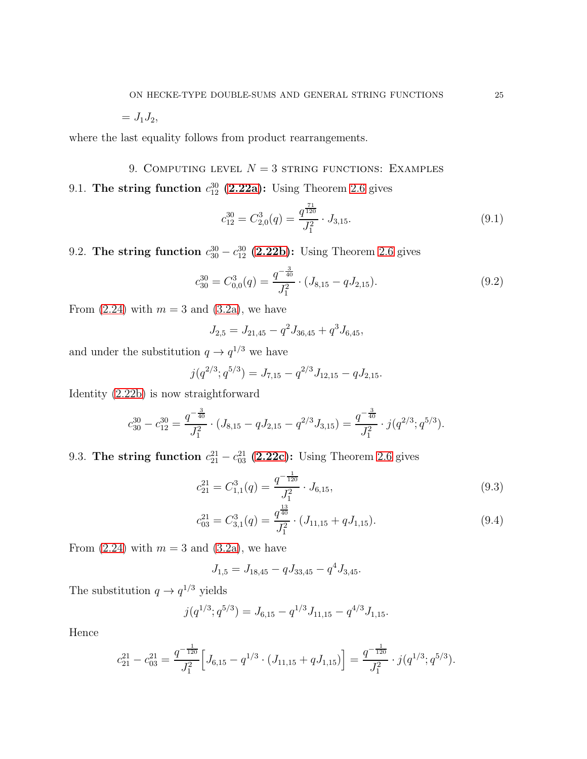$= J_1 J_2,$ 

where the last equality follows from product rearrangements.

<span id="page-24-0"></span>9. COMPUTING LEVEL  $N = 3$  string functions: EXAMPLES 9.1. The string function  $c_{12}^{30}$  [\(2.22a\)](#page-4-5): Using Theorem [2.6](#page-3-2) gives

$$
c_{12}^{30} = C_{2,0}^3(q) = \frac{q^{\frac{71}{120}}}{J_1^2} \cdot J_{3,15}.
$$
\n(9.1)

9.2. The string function  $c_{30}^{30} - c_{12}^{30}$  [\(2.22b\)](#page-4-2): Using Theorem [2.6](#page-3-2) gives

$$
c_{30}^{30} = C_{0,0}^3(q) = \frac{q^{-\frac{3}{40}}}{J_1^2} \cdot (J_{8,15} - qJ_{2,15}).
$$
\n(9.2)

From  $(2.24)$  with  $m = 3$  and  $(3.2a)$ , we have

$$
J_{2,5} = J_{21,45} - q^2 J_{36,45} + q^3 J_{6,45},
$$

and under the substitution  $q \to q^{1/3}$  we have

$$
j(q^{2/3}; q^{5/3}) = J_{7,15} - q^{2/3} J_{12,15} - q J_{2,15}.
$$

Identity [\(2.22b\)](#page-4-2) is now straightforward

$$
c_{30}^{30} - c_{12}^{30} = \frac{q^{-\frac{3}{40}}}{J_1^2} \cdot (J_{8,15} - qJ_{2,15} - q^{2/3}J_{3,15}) = \frac{q^{-\frac{3}{40}}}{J_1^2} \cdot j(q^{2/3}; q^{5/3}).
$$

9.3. The string function  $c_{21}^{21} - c_{03}^{21}$  [\(2.22c\)](#page-4-3): Using Theorem [2.6](#page-3-2) gives

$$
c_{21}^{21} = C_{1,1}^3(q) = \frac{q^{-\frac{1}{120}}}{J_1^2} \cdot J_{6,15},\tag{9.3}
$$

$$
c_{03}^{21} = C_{3,1}^3(q) = \frac{q^{\frac{13}{40}}}{J_1^2} \cdot (J_{11,15} + q J_{1,15}). \tag{9.4}
$$

From  $(2.24)$  with  $m = 3$  and  $(3.2a)$ , we have

$$
J_{1,5} = J_{18,45} - qJ_{33,45} - q^4 J_{3,45}.
$$

The substitution  $q \to q^{1/3}$  yields

$$
j(q^{1/3}; q^{5/3}) = J_{6,15} - q^{1/3} J_{11,15} - q^{4/3} J_{1,15}.
$$

Hence

$$
c_{21}^{21} - c_{03}^{21} = \frac{q^{-\frac{1}{120}}}{J_1^2} \Big[ J_{6,15} - q^{1/3} \cdot (J_{11,15} + qJ_{1,15}) \Big] = \frac{q^{-\frac{1}{120}}}{J_1^2} \cdot j(q^{1/3}; q^{5/3}).
$$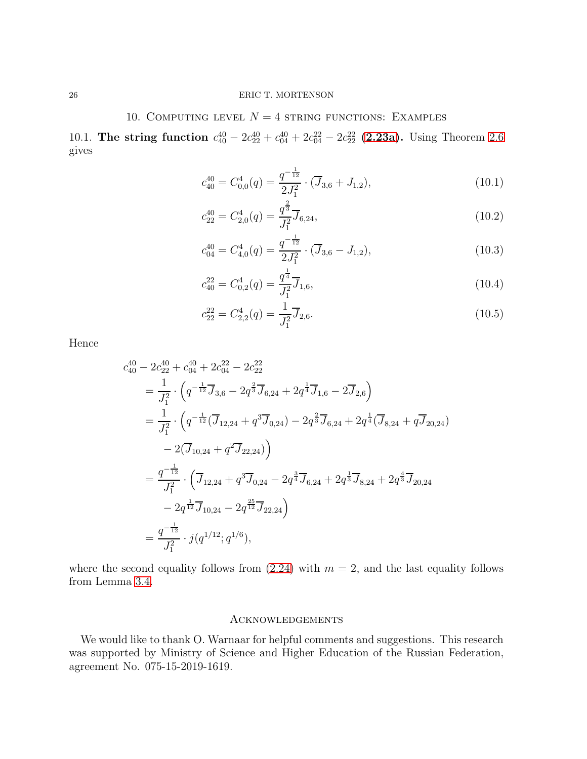### 10. COMPUTING LEVEL  $N = 4$  string functions: EXAMPLES

<span id="page-25-0"></span>10.1. The string function  $c_{40}^{40} - 2c_{22}^{40} + c_{04}^{40} + 2c_{04}^{22} - 2c_{22}^{22}$  [\(2.23a\)](#page-5-0). Using Theorem [2.6](#page-3-2) gives

$$
c_{40}^{40} = C_{0,0}^4(q) = \frac{q^{-\frac{1}{12}}}{2J_1^2} \cdot (\overline{J}_{3,6} + J_{1,2}),\tag{10.1}
$$

$$
c_{22}^{40} = C_{2,0}^4(q) = \frac{q^{\frac{2}{3}}}{J_1^2} \overline{J}_{6,24},\tag{10.2}
$$

$$
c_{04}^{40} = C_{4,0}^4(q) = \frac{q^{-\frac{1}{12}}}{2J_1^2} \cdot (\overline{J}_{3,6} - J_{1,2}),
$$
\n(10.3)

$$
c_{40}^{22} = C_{0,2}^4(q) = \frac{q^{\frac{1}{4}}}{J_1^2} \overline{J}_{1,6},\tag{10.4}
$$

$$
c_{22}^{22} = C_{2,2}^4(q) = \frac{1}{J_1^2} \overline{J}_{2,6}.
$$
\n(10.5)

Hence

$$
c_{40}^{40} - 2c_{22}^{40} + c_{04}^{40} + 2c_{04}^{22} - 2c_{22}^{22}
$$
  
=  $\frac{1}{J_1^2} \cdot \left( q^{-\frac{1}{12}} \overline{J}_{3,6} - 2q^{\frac{2}{3}} \overline{J}_{6,24} + 2q^{\frac{1}{4}} \overline{J}_{1,6} - 2 \overline{J}_{2,6} \right)$   
=  $\frac{1}{J_1^2} \cdot \left( q^{-\frac{1}{12}} (\overline{J}_{12,24} + q^3 \overline{J}_{0,24}) - 2q^{\frac{2}{3}} \overline{J}_{6,24} + 2q^{\frac{1}{4}} (\overline{J}_{8,24} + q \overline{J}_{20,24}) - 2(\overline{J}_{10,24} + q^2 \overline{J}_{22,24}) \right)$   
=  $\frac{q^{-\frac{1}{12}}}{J_1^2} \cdot \left( \overline{J}_{12,24} + q^3 \overline{J}_{0,24} - 2q^{\frac{3}{4}} \overline{J}_{6,24} + 2q^{\frac{1}{3}} \overline{J}_{8,24} + 2q^{\frac{4}{3}} \overline{J}_{20,24} - 2q^{\frac{1}{12}} \overline{J}_{10,24} - 2q^{\frac{25}{12}} \overline{J}_{22,24} \right)$   
=  $\frac{q^{-\frac{1}{12}}}{J_1^2} \cdot j(q^{1/12}; q^{1/6}),$ 

where the second equality follows from  $(2.24)$  with  $m = 2$ , and the last equality follows from Lemma [3.4.](#page-6-1)

#### Acknowledgements

We would like to thank O. Warnaar for helpful comments and suggestions. This research was supported by Ministry of Science and Higher Education of the Russian Federation, agreement No. 075-15-2019-1619.